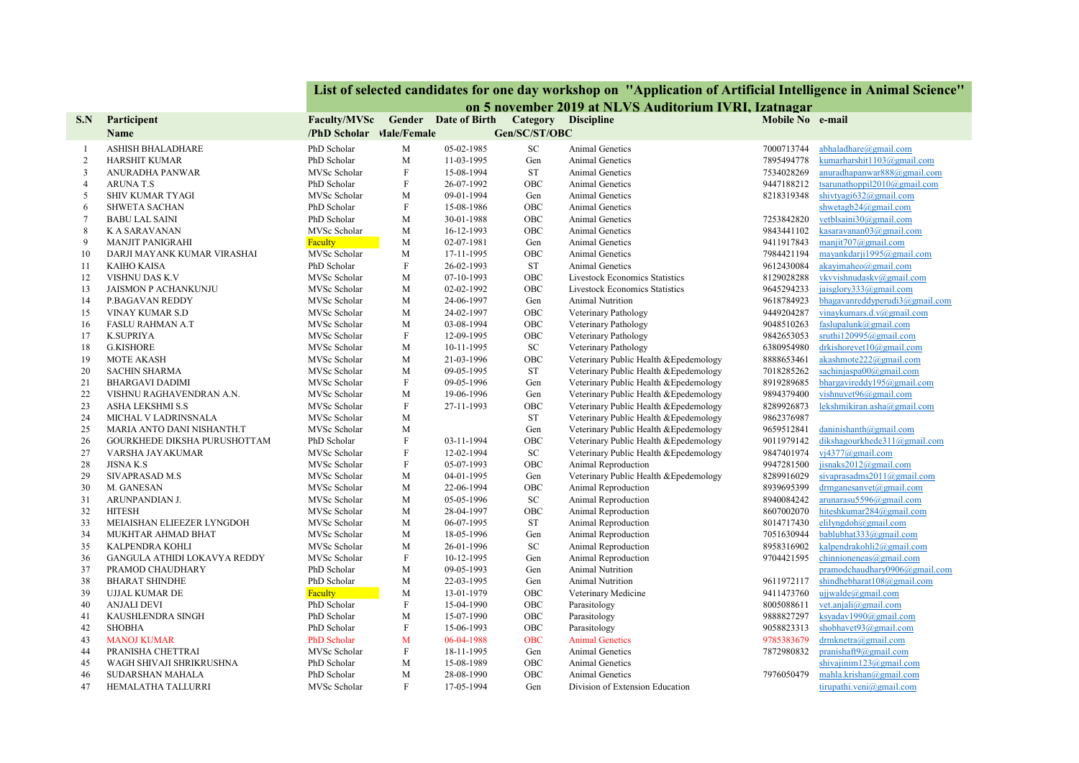| on 5 november 2019 at NLVS Auditorium IVRI, Izatnagar<br>Faculty/MVSc Gender Date of Birth<br>Category Discipline<br>Mobile No e-mail<br>S.N<br>Participent<br>Gen/SC/ST/OBC<br><b>Name</b><br>/PhD Scholar Male/Female<br>PhD Scholar<br>M<br>05-02-1985<br>SC<br>abhaladhare@gmail.com<br><b>ASHISH BHALADHARE</b><br><b>Animal Genetics</b><br>7000713744<br>2<br>PhD Scholar<br>M<br>11-03-1995<br>Animal Genetics<br>7895494778<br>kumarharshit1103@gmail.com<br><b>HARSHIT KUMAR</b><br>Gen<br>$\mathbf F$<br><b>ST</b><br>anuradhapanwar888@gmail.com<br>3<br>ANURADHA PANWAR<br>MVSc Scholar<br>15-08-1994<br>Animal Genetics<br>7534028269<br>$\rm F$<br>$\overline{4}$<br>PhD Scholar<br>26-07-1992<br>OBC<br>Animal Genetics<br>9447188212<br>tsarunathoppil2010@gmail.com<br><b>ARUNAT.S</b><br>shivtyagi632@gmail.com<br>5<br><b>SHIV KUMAR TYAGI</b><br>MVSc Scholar<br>M<br>09-01-1994<br>Gen<br>Animal Genetics<br>8218319348<br>$\rm F$<br>shwetagb24@gmail.com<br>6<br>PhD Scholar<br>15-08-1986<br>OBC<br><b>SHWETA SACHAN</b><br>Animal Genetics<br>vetblsaini30@gmail.com<br>7253842820<br>$\overline{7}$<br>PhD Scholar<br>M<br>30-01-1988<br>OBC<br><b>Animal Genetics</b><br><b>BABU LAL SAINI</b><br>8<br>M<br>OBC<br>9843441102<br>kasaravanan03@gmail.com<br>K A SARAVANAN<br>MVSc Scholar<br>16-12-1993<br>Animal Genetics<br>9<br>manjit707@gmail.com<br><b>MANJIT PANIGRAHI</b><br>Faculty<br>M<br>02-07-1981<br>Gen<br>Animal Genetics<br>9411917843<br>mayankdarji1995@gmail.com<br>MVSc Scholar<br>M<br>OBC<br>7984421194<br>10<br>DARJI MAYANK KUMAR VIRASHAI<br>17-11-1995<br>Animal Genetics<br>PhD Scholar<br>$\mathbf{F}$<br><b>ST</b><br>9612430084<br>akayimaheo@gmail.com<br>11<br><b>KAIHO KAISA</b><br>26-02-1993<br><b>Animal Genetics</b><br>vkvvishnudaskv@gmail.com<br>12<br>M<br>OBC<br><b>Livestock Economics Statistics</b><br>8129028288<br>VISHNU DAS K.V<br>MVSc Scholar<br>07-10-1993<br>jaisglory333@gmail.com<br>M<br>13<br><b>JAISMON P ACHANKUNJU</b><br>MVSc Scholar<br>02-02-1992<br>OBC<br><b>Livestock Economics Statistics</b><br>9645294233<br>bhagavanreddyperudi3@gmail.com<br>14<br>M<br>9618784923<br>P.BAGAVAN REDDY<br>MVSc Scholar<br>24-06-1997<br>Gen<br>Animal Nutrition<br>9449204287<br>vinaykumars.d.v@gmail.com<br>15<br>VINAY KUMAR S.D<br>MVSc Scholar<br>M<br>24-02-1997<br>OBC<br>Veterinary Pathology<br>faslupalunk@gmail.com<br><b>FASLU RAHMAN A.T</b><br>MVSc Scholar<br>M<br>03-08-1994<br>OBC<br>Veterinary Pathology<br>9048510263<br>16<br>sruthi120995@gmail.com<br>$\mathbf{F}$<br>17<br><b>K.SUPRIYA</b><br>MVSc Scholar<br>12-09-1995<br>OBC<br>Veterinary Pathology<br>9842653053<br>18<br><b>G.KISHORE</b><br>MVSc Scholar<br>M<br>SC<br>Veterinary Pathology<br>6380954980<br>drkishorevet10@gmail.com<br>10-11-1995<br>19<br>Veterinary Public Health & Epedemology<br>akashmote222@gmail.com<br><b>MOTE AKASH</b><br>MVSc Scholar<br>M<br>21-03-1996<br>OBC<br>8888653461<br>20<br>M<br><b>ST</b><br>Veterinary Public Health & Epedemology<br>7018285262<br>sachinjaspa $00@g$ mail.com<br><b>SACHIN SHARMA</b><br>MVSc Scholar<br>09-05-1995<br>$\mathbf{F}$<br>bhargavireddy195@gmail.com<br>21<br>MVSc Scholar<br>09-05-1996<br>Gen<br>Veterinary Public Health & Epedemology<br>8919289685<br><b>BHARGAVI DADIMI</b><br>22<br>MVSc Scholar<br>M<br>19-06-1996<br>Gen<br>Veterinary Public Health & Epedemology<br>9894379400<br>vishnuvet96@gmail.com<br>VISHNU RAGHAVENDRAN A.N.<br>23<br>$\mathbf{F}$<br>OBC<br>Veterinary Public Health & Epedemology<br>lekshmikiran.asha@gmail.com<br>ASHA LEKSHMI S.S<br>MVSc Scholar<br>27-11-1993<br>8289926873<br>24<br>MVSc Scholar<br>M<br><b>ST</b><br>Veterinary Public Health & Epedemology<br>9862376987<br>MICHAL V LADRINSNALA<br>25<br>M<br>Veterinary Public Health & Epedemology<br>9659512841<br>daninishanth@gmail.com<br>MARIA ANTO DANI NISHANTH.T<br>MVSc Scholar<br>Gen<br>dikshagourkhede311@gmail.com<br>26<br>PhD Scholar<br>F<br>OBC<br>Veterinary Public Health & Epedemology<br>9011979142<br>GOURKHEDE DIKSHA PURUSHOTTAM<br>03-11-1994<br>${\rm F}$<br>27<br>SC<br>vj4377@gmail.com<br>MVSc Scholar<br>12-02-1994<br>Veterinary Public Health & Epedemology<br>9847401974<br>VARSHA JAYAKUMAR<br>$\rm F$<br>jisnaks2012@gmail.com<br>28<br>OBC<br>Animal Reproduction<br>9947281500<br><b>JISNAK.S</b><br>MVSc Scholar<br>05-07-1993<br>29<br>Veterinary Public Health & Epedemology<br>8289916029<br>sivaprasadms2011@gmail.com<br>SIVAPRASAD M.S<br>MVSc Scholar<br>M<br>04-01-1995<br>Gen<br>30<br>MVSc Scholar<br>OBC<br>Animal Reproduction<br>8939695399<br>drmganesanvet@gmail.com<br>M. GANESAN<br>M<br>22-06-1994<br>31<br>${\rm SC}$<br>Animal Reproduction<br>8940084242<br>arunarasu5596@gmail.com<br>ARUNPANDIAN J.<br>MVSc Scholar<br>M<br>05-05-1996<br>hiteshkumar284@gmail.com<br>32<br><b>HITESH</b><br>MVSc Scholar<br>M<br>28-04-1997<br>OBC<br>Animal Reproduction<br>8607002070<br>33<br>Animal Reproduction<br>elilyngdoh@gmail.com<br>MVSc Scholar<br>M<br>06-07-1995<br><b>ST</b><br>8014717430<br>MEIAISHAN ELIEEZER LYNGDOH<br>bablubhat333@gmail.com<br>34<br>M<br>Animal Reproduction<br>7051630944<br>MUKHTAR AHMAD BHAT<br>MVSc Scholar<br>18-05-1996<br>Gen<br>35<br>M<br>${\rm SC}$<br>kalpendrakohli2@gmail.com<br>KALPENDRA KOHLI<br>MVSc Scholar<br>26-01-1996<br>Animal Reproduction<br>8958316902<br>$\rm F$<br>36<br>MVSc Scholar<br>Animal Reproduction<br>9704421595<br>chinnioneneas@gmail.com<br>GANGULA ATHIDI LOKAVYA REDDY<br>10-12-1995<br>Gen<br>37<br>Animal Nutrition<br>PRAMOD CHAUDHARY<br>PhD Scholar<br>M<br>09-05-1993<br>Gen<br>pramodchaudhary0906@gmail.com<br>shindhebharat108@gmail.com<br>38<br><b>BHARAT SHINDHE</b><br>PhD Scholar<br>M<br>Animal Nutrition<br>9611972117<br>22-03-1995<br>Gen<br>M<br>uijwalde@gmail.com<br>39<br>UJJAL KUMAR DE<br>Faculty<br>13-01-1979<br>OBC<br>Veterinary Medicine<br>9411473760<br>$\rm F$<br>vet.anjali@gmail.com<br>40<br>PhD Scholar<br>OBC<br>Parasitology<br><b>ANJALI DEVI</b><br>15-04-1990<br>8005088611<br>M<br>ksyadav1990@gmail.com<br>41<br>KAUSHLENDRA SINGH<br>PhD Scholar<br>15-07-1990<br>OBC<br>Parasitology<br>9888827297<br>42<br><b>SHOBHA</b><br>PhD Scholar<br>F<br>OBC<br>9058823313<br>shobhavet93@gmail.com<br>15-06-1993<br>Parasitology<br>PhD Scholar<br>9785383679<br>drmknetra@gmail.com<br>43<br><b>MANOJ KUMAR</b><br>M<br>06-04-1988<br><b>OBC</b><br><b>Animal Genetics</b><br>F<br>pranishaft9@gmail.com<br>MVSc Scholar<br>Animal Genetics<br>7872980832<br>44<br>PRANISHA CHETTRAI<br>18-11-1995<br>Gen<br>PhD Scholar<br>M<br>OBC<br>shivajinim123@gmail.com<br>45<br>WAGH SHIVAJI SHRIKRUSHNA<br>15-08-1989<br>Animal Genetics<br>mahla.krishan@gmail.com<br>46<br>SUDARSHAN MAHALA<br>PhD Scholar<br>M<br>28-08-1990<br>OBC<br>Animal Genetics<br>7976050479<br>47<br>F<br>tirupathi.veni@gmail.com<br>HEMALATHA TALLURRI<br>MVSc Scholar<br>17-05-1994<br>Gen<br>Division of Extension Education |  | List of selected candidates for one day workshop on "Application of Artificial Intelligence in Animal Science" |  |  |  |  |  |  |  |
|----------------------------------------------------------------------------------------------------------------------------------------------------------------------------------------------------------------------------------------------------------------------------------------------------------------------------------------------------------------------------------------------------------------------------------------------------------------------------------------------------------------------------------------------------------------------------------------------------------------------------------------------------------------------------------------------------------------------------------------------------------------------------------------------------------------------------------------------------------------------------------------------------------------------------------------------------------------------------------------------------------------------------------------------------------------------------------------------------------------------------------------------------------------------------------------------------------------------------------------------------------------------------------------------------------------------------------------------------------------------------------------------------------------------------------------------------------------------------------------------------------------------------------------------------------------------------------------------------------------------------------------------------------------------------------------------------------------------------------------------------------------------------------------------------------------------------------------------------------------------------------------------------------------------------------------------------------------------------------------------------------------------------------------------------------------------------------------------------------------------------------------------------------------------------------------------------------------------------------------------------------------------------------------------------------------------------------------------------------------------------------------------------------------------------------------------------------------------------------------------------------------------------------------------------------------------------------------------------------------------------------------------------------------------------------------------------------------------------------------------------------------------------------------------------------------------------------------------------------------------------------------------------------------------------------------------------------------------------------------------------------------------------------------------------------------------------------------------------------------------------------------------------------------------------------------------------------------------------------------------------------------------------------------------------------------------------------------------------------------------------------------------------------------------------------------------------------------------------------------------------------------------------------------------------------------------------------------------------------------------------------------------------------------------------------------------------------------------------------------------------------------------------------------------------------------------------------------------------------------------------------------------------------------------------------------------------------------------------------------------------------------------------------------------------------------------------------------------------------------------------------------------------------------------------------------------------------------------------------------------------------------------------------------------------------------------------------------------------------------------------------------------------------------------------------------------------------------------------------------------------------------------------------------------------------------------------------------------------------------------------------------------------------------------------------------------------------------------------------------------------------------------------------------------------------------------------------------------------------------------------------------------------------------------------------------------------------------------------------------------------------------------------------------------------------------------------------------------------------------------------------------------------------------------------------------------------------------------------------------------------------------------------------------------------------------------------------------------------------------------------------------------------------------------------------------------------------------------------------------------------------------------------------------------------------------------------------------------------------------------------------------------------------------------------------------------------------------------------------------------------------------------------------------------------------------------------------------------------------------------------------------------------------------------------------------------------------------------------------------------------------------------------------------------------------------------------------------------------------------------------------------------------------------------------------------------------------------------------------------------------------------------------------------------------------------------------------------------------------------------------------------------------------------------------------------------------------------------------------------------------------------------------------------------------------------------------------------------------------------------------------------------------------------------------------------------------------------------------------------------------------------------------------------------------------------------------------------------------------------------------------------------------------------------------------------------------------------------------------------------------------------------------|--|----------------------------------------------------------------------------------------------------------------|--|--|--|--|--|--|--|
|                                                                                                                                                                                                                                                                                                                                                                                                                                                                                                                                                                                                                                                                                                                                                                                                                                                                                                                                                                                                                                                                                                                                                                                                                                                                                                                                                                                                                                                                                                                                                                                                                                                                                                                                                                                                                                                                                                                                                                                                                                                                                                                                                                                                                                                                                                                                                                                                                                                                                                                                                                                                                                                                                                                                                                                                                                                                                                                                                                                                                                                                                                                                                                                                                                                                                                                                                                                                                                                                                                                                                                                                                                                                                                                                                                                                                                                                                                                                                                                                                                                                                                                                                                                                                                                                                                                                                                                                                                                                                                                                                                                                                                                                                                                                                                                                                                                                                                                                                                                                                                                                                                                                                                                                                                                                                                                                                                                                                                                                                                                                                                                                                                                                                                                                                                                                                                                                                                                                                                                                                                                                                                                                                                                                                                                                                                                                                                                                                                                                                                                                                                                                                                                                                                                                                                                                                                                                                                                                                                                                                            |  |                                                                                                                |  |  |  |  |  |  |  |
|                                                                                                                                                                                                                                                                                                                                                                                                                                                                                                                                                                                                                                                                                                                                                                                                                                                                                                                                                                                                                                                                                                                                                                                                                                                                                                                                                                                                                                                                                                                                                                                                                                                                                                                                                                                                                                                                                                                                                                                                                                                                                                                                                                                                                                                                                                                                                                                                                                                                                                                                                                                                                                                                                                                                                                                                                                                                                                                                                                                                                                                                                                                                                                                                                                                                                                                                                                                                                                                                                                                                                                                                                                                                                                                                                                                                                                                                                                                                                                                                                                                                                                                                                                                                                                                                                                                                                                                                                                                                                                                                                                                                                                                                                                                                                                                                                                                                                                                                                                                                                                                                                                                                                                                                                                                                                                                                                                                                                                                                                                                                                                                                                                                                                                                                                                                                                                                                                                                                                                                                                                                                                                                                                                                                                                                                                                                                                                                                                                                                                                                                                                                                                                                                                                                                                                                                                                                                                                                                                                                                                            |  |                                                                                                                |  |  |  |  |  |  |  |
|                                                                                                                                                                                                                                                                                                                                                                                                                                                                                                                                                                                                                                                                                                                                                                                                                                                                                                                                                                                                                                                                                                                                                                                                                                                                                                                                                                                                                                                                                                                                                                                                                                                                                                                                                                                                                                                                                                                                                                                                                                                                                                                                                                                                                                                                                                                                                                                                                                                                                                                                                                                                                                                                                                                                                                                                                                                                                                                                                                                                                                                                                                                                                                                                                                                                                                                                                                                                                                                                                                                                                                                                                                                                                                                                                                                                                                                                                                                                                                                                                                                                                                                                                                                                                                                                                                                                                                                                                                                                                                                                                                                                                                                                                                                                                                                                                                                                                                                                                                                                                                                                                                                                                                                                                                                                                                                                                                                                                                                                                                                                                                                                                                                                                                                                                                                                                                                                                                                                                                                                                                                                                                                                                                                                                                                                                                                                                                                                                                                                                                                                                                                                                                                                                                                                                                                                                                                                                                                                                                                                                            |  |                                                                                                                |  |  |  |  |  |  |  |
|                                                                                                                                                                                                                                                                                                                                                                                                                                                                                                                                                                                                                                                                                                                                                                                                                                                                                                                                                                                                                                                                                                                                                                                                                                                                                                                                                                                                                                                                                                                                                                                                                                                                                                                                                                                                                                                                                                                                                                                                                                                                                                                                                                                                                                                                                                                                                                                                                                                                                                                                                                                                                                                                                                                                                                                                                                                                                                                                                                                                                                                                                                                                                                                                                                                                                                                                                                                                                                                                                                                                                                                                                                                                                                                                                                                                                                                                                                                                                                                                                                                                                                                                                                                                                                                                                                                                                                                                                                                                                                                                                                                                                                                                                                                                                                                                                                                                                                                                                                                                                                                                                                                                                                                                                                                                                                                                                                                                                                                                                                                                                                                                                                                                                                                                                                                                                                                                                                                                                                                                                                                                                                                                                                                                                                                                                                                                                                                                                                                                                                                                                                                                                                                                                                                                                                                                                                                                                                                                                                                                                            |  |                                                                                                                |  |  |  |  |  |  |  |
|                                                                                                                                                                                                                                                                                                                                                                                                                                                                                                                                                                                                                                                                                                                                                                                                                                                                                                                                                                                                                                                                                                                                                                                                                                                                                                                                                                                                                                                                                                                                                                                                                                                                                                                                                                                                                                                                                                                                                                                                                                                                                                                                                                                                                                                                                                                                                                                                                                                                                                                                                                                                                                                                                                                                                                                                                                                                                                                                                                                                                                                                                                                                                                                                                                                                                                                                                                                                                                                                                                                                                                                                                                                                                                                                                                                                                                                                                                                                                                                                                                                                                                                                                                                                                                                                                                                                                                                                                                                                                                                                                                                                                                                                                                                                                                                                                                                                                                                                                                                                                                                                                                                                                                                                                                                                                                                                                                                                                                                                                                                                                                                                                                                                                                                                                                                                                                                                                                                                                                                                                                                                                                                                                                                                                                                                                                                                                                                                                                                                                                                                                                                                                                                                                                                                                                                                                                                                                                                                                                                                                            |  |                                                                                                                |  |  |  |  |  |  |  |
|                                                                                                                                                                                                                                                                                                                                                                                                                                                                                                                                                                                                                                                                                                                                                                                                                                                                                                                                                                                                                                                                                                                                                                                                                                                                                                                                                                                                                                                                                                                                                                                                                                                                                                                                                                                                                                                                                                                                                                                                                                                                                                                                                                                                                                                                                                                                                                                                                                                                                                                                                                                                                                                                                                                                                                                                                                                                                                                                                                                                                                                                                                                                                                                                                                                                                                                                                                                                                                                                                                                                                                                                                                                                                                                                                                                                                                                                                                                                                                                                                                                                                                                                                                                                                                                                                                                                                                                                                                                                                                                                                                                                                                                                                                                                                                                                                                                                                                                                                                                                                                                                                                                                                                                                                                                                                                                                                                                                                                                                                                                                                                                                                                                                                                                                                                                                                                                                                                                                                                                                                                                                                                                                                                                                                                                                                                                                                                                                                                                                                                                                                                                                                                                                                                                                                                                                                                                                                                                                                                                                                            |  |                                                                                                                |  |  |  |  |  |  |  |
|                                                                                                                                                                                                                                                                                                                                                                                                                                                                                                                                                                                                                                                                                                                                                                                                                                                                                                                                                                                                                                                                                                                                                                                                                                                                                                                                                                                                                                                                                                                                                                                                                                                                                                                                                                                                                                                                                                                                                                                                                                                                                                                                                                                                                                                                                                                                                                                                                                                                                                                                                                                                                                                                                                                                                                                                                                                                                                                                                                                                                                                                                                                                                                                                                                                                                                                                                                                                                                                                                                                                                                                                                                                                                                                                                                                                                                                                                                                                                                                                                                                                                                                                                                                                                                                                                                                                                                                                                                                                                                                                                                                                                                                                                                                                                                                                                                                                                                                                                                                                                                                                                                                                                                                                                                                                                                                                                                                                                                                                                                                                                                                                                                                                                                                                                                                                                                                                                                                                                                                                                                                                                                                                                                                                                                                                                                                                                                                                                                                                                                                                                                                                                                                                                                                                                                                                                                                                                                                                                                                                                            |  |                                                                                                                |  |  |  |  |  |  |  |
|                                                                                                                                                                                                                                                                                                                                                                                                                                                                                                                                                                                                                                                                                                                                                                                                                                                                                                                                                                                                                                                                                                                                                                                                                                                                                                                                                                                                                                                                                                                                                                                                                                                                                                                                                                                                                                                                                                                                                                                                                                                                                                                                                                                                                                                                                                                                                                                                                                                                                                                                                                                                                                                                                                                                                                                                                                                                                                                                                                                                                                                                                                                                                                                                                                                                                                                                                                                                                                                                                                                                                                                                                                                                                                                                                                                                                                                                                                                                                                                                                                                                                                                                                                                                                                                                                                                                                                                                                                                                                                                                                                                                                                                                                                                                                                                                                                                                                                                                                                                                                                                                                                                                                                                                                                                                                                                                                                                                                                                                                                                                                                                                                                                                                                                                                                                                                                                                                                                                                                                                                                                                                                                                                                                                                                                                                                                                                                                                                                                                                                                                                                                                                                                                                                                                                                                                                                                                                                                                                                                                                            |  |                                                                                                                |  |  |  |  |  |  |  |
|                                                                                                                                                                                                                                                                                                                                                                                                                                                                                                                                                                                                                                                                                                                                                                                                                                                                                                                                                                                                                                                                                                                                                                                                                                                                                                                                                                                                                                                                                                                                                                                                                                                                                                                                                                                                                                                                                                                                                                                                                                                                                                                                                                                                                                                                                                                                                                                                                                                                                                                                                                                                                                                                                                                                                                                                                                                                                                                                                                                                                                                                                                                                                                                                                                                                                                                                                                                                                                                                                                                                                                                                                                                                                                                                                                                                                                                                                                                                                                                                                                                                                                                                                                                                                                                                                                                                                                                                                                                                                                                                                                                                                                                                                                                                                                                                                                                                                                                                                                                                                                                                                                                                                                                                                                                                                                                                                                                                                                                                                                                                                                                                                                                                                                                                                                                                                                                                                                                                                                                                                                                                                                                                                                                                                                                                                                                                                                                                                                                                                                                                                                                                                                                                                                                                                                                                                                                                                                                                                                                                                            |  |                                                                                                                |  |  |  |  |  |  |  |
|                                                                                                                                                                                                                                                                                                                                                                                                                                                                                                                                                                                                                                                                                                                                                                                                                                                                                                                                                                                                                                                                                                                                                                                                                                                                                                                                                                                                                                                                                                                                                                                                                                                                                                                                                                                                                                                                                                                                                                                                                                                                                                                                                                                                                                                                                                                                                                                                                                                                                                                                                                                                                                                                                                                                                                                                                                                                                                                                                                                                                                                                                                                                                                                                                                                                                                                                                                                                                                                                                                                                                                                                                                                                                                                                                                                                                                                                                                                                                                                                                                                                                                                                                                                                                                                                                                                                                                                                                                                                                                                                                                                                                                                                                                                                                                                                                                                                                                                                                                                                                                                                                                                                                                                                                                                                                                                                                                                                                                                                                                                                                                                                                                                                                                                                                                                                                                                                                                                                                                                                                                                                                                                                                                                                                                                                                                                                                                                                                                                                                                                                                                                                                                                                                                                                                                                                                                                                                                                                                                                                                            |  |                                                                                                                |  |  |  |  |  |  |  |
|                                                                                                                                                                                                                                                                                                                                                                                                                                                                                                                                                                                                                                                                                                                                                                                                                                                                                                                                                                                                                                                                                                                                                                                                                                                                                                                                                                                                                                                                                                                                                                                                                                                                                                                                                                                                                                                                                                                                                                                                                                                                                                                                                                                                                                                                                                                                                                                                                                                                                                                                                                                                                                                                                                                                                                                                                                                                                                                                                                                                                                                                                                                                                                                                                                                                                                                                                                                                                                                                                                                                                                                                                                                                                                                                                                                                                                                                                                                                                                                                                                                                                                                                                                                                                                                                                                                                                                                                                                                                                                                                                                                                                                                                                                                                                                                                                                                                                                                                                                                                                                                                                                                                                                                                                                                                                                                                                                                                                                                                                                                                                                                                                                                                                                                                                                                                                                                                                                                                                                                                                                                                                                                                                                                                                                                                                                                                                                                                                                                                                                                                                                                                                                                                                                                                                                                                                                                                                                                                                                                                                            |  |                                                                                                                |  |  |  |  |  |  |  |
|                                                                                                                                                                                                                                                                                                                                                                                                                                                                                                                                                                                                                                                                                                                                                                                                                                                                                                                                                                                                                                                                                                                                                                                                                                                                                                                                                                                                                                                                                                                                                                                                                                                                                                                                                                                                                                                                                                                                                                                                                                                                                                                                                                                                                                                                                                                                                                                                                                                                                                                                                                                                                                                                                                                                                                                                                                                                                                                                                                                                                                                                                                                                                                                                                                                                                                                                                                                                                                                                                                                                                                                                                                                                                                                                                                                                                                                                                                                                                                                                                                                                                                                                                                                                                                                                                                                                                                                                                                                                                                                                                                                                                                                                                                                                                                                                                                                                                                                                                                                                                                                                                                                                                                                                                                                                                                                                                                                                                                                                                                                                                                                                                                                                                                                                                                                                                                                                                                                                                                                                                                                                                                                                                                                                                                                                                                                                                                                                                                                                                                                                                                                                                                                                                                                                                                                                                                                                                                                                                                                                                            |  |                                                                                                                |  |  |  |  |  |  |  |
|                                                                                                                                                                                                                                                                                                                                                                                                                                                                                                                                                                                                                                                                                                                                                                                                                                                                                                                                                                                                                                                                                                                                                                                                                                                                                                                                                                                                                                                                                                                                                                                                                                                                                                                                                                                                                                                                                                                                                                                                                                                                                                                                                                                                                                                                                                                                                                                                                                                                                                                                                                                                                                                                                                                                                                                                                                                                                                                                                                                                                                                                                                                                                                                                                                                                                                                                                                                                                                                                                                                                                                                                                                                                                                                                                                                                                                                                                                                                                                                                                                                                                                                                                                                                                                                                                                                                                                                                                                                                                                                                                                                                                                                                                                                                                                                                                                                                                                                                                                                                                                                                                                                                                                                                                                                                                                                                                                                                                                                                                                                                                                                                                                                                                                                                                                                                                                                                                                                                                                                                                                                                                                                                                                                                                                                                                                                                                                                                                                                                                                                                                                                                                                                                                                                                                                                                                                                                                                                                                                                                                            |  |                                                                                                                |  |  |  |  |  |  |  |
|                                                                                                                                                                                                                                                                                                                                                                                                                                                                                                                                                                                                                                                                                                                                                                                                                                                                                                                                                                                                                                                                                                                                                                                                                                                                                                                                                                                                                                                                                                                                                                                                                                                                                                                                                                                                                                                                                                                                                                                                                                                                                                                                                                                                                                                                                                                                                                                                                                                                                                                                                                                                                                                                                                                                                                                                                                                                                                                                                                                                                                                                                                                                                                                                                                                                                                                                                                                                                                                                                                                                                                                                                                                                                                                                                                                                                                                                                                                                                                                                                                                                                                                                                                                                                                                                                                                                                                                                                                                                                                                                                                                                                                                                                                                                                                                                                                                                                                                                                                                                                                                                                                                                                                                                                                                                                                                                                                                                                                                                                                                                                                                                                                                                                                                                                                                                                                                                                                                                                                                                                                                                                                                                                                                                                                                                                                                                                                                                                                                                                                                                                                                                                                                                                                                                                                                                                                                                                                                                                                                                                            |  |                                                                                                                |  |  |  |  |  |  |  |
|                                                                                                                                                                                                                                                                                                                                                                                                                                                                                                                                                                                                                                                                                                                                                                                                                                                                                                                                                                                                                                                                                                                                                                                                                                                                                                                                                                                                                                                                                                                                                                                                                                                                                                                                                                                                                                                                                                                                                                                                                                                                                                                                                                                                                                                                                                                                                                                                                                                                                                                                                                                                                                                                                                                                                                                                                                                                                                                                                                                                                                                                                                                                                                                                                                                                                                                                                                                                                                                                                                                                                                                                                                                                                                                                                                                                                                                                                                                                                                                                                                                                                                                                                                                                                                                                                                                                                                                                                                                                                                                                                                                                                                                                                                                                                                                                                                                                                                                                                                                                                                                                                                                                                                                                                                                                                                                                                                                                                                                                                                                                                                                                                                                                                                                                                                                                                                                                                                                                                                                                                                                                                                                                                                                                                                                                                                                                                                                                                                                                                                                                                                                                                                                                                                                                                                                                                                                                                                                                                                                                                            |  |                                                                                                                |  |  |  |  |  |  |  |
|                                                                                                                                                                                                                                                                                                                                                                                                                                                                                                                                                                                                                                                                                                                                                                                                                                                                                                                                                                                                                                                                                                                                                                                                                                                                                                                                                                                                                                                                                                                                                                                                                                                                                                                                                                                                                                                                                                                                                                                                                                                                                                                                                                                                                                                                                                                                                                                                                                                                                                                                                                                                                                                                                                                                                                                                                                                                                                                                                                                                                                                                                                                                                                                                                                                                                                                                                                                                                                                                                                                                                                                                                                                                                                                                                                                                                                                                                                                                                                                                                                                                                                                                                                                                                                                                                                                                                                                                                                                                                                                                                                                                                                                                                                                                                                                                                                                                                                                                                                                                                                                                                                                                                                                                                                                                                                                                                                                                                                                                                                                                                                                                                                                                                                                                                                                                                                                                                                                                                                                                                                                                                                                                                                                                                                                                                                                                                                                                                                                                                                                                                                                                                                                                                                                                                                                                                                                                                                                                                                                                                            |  |                                                                                                                |  |  |  |  |  |  |  |
|                                                                                                                                                                                                                                                                                                                                                                                                                                                                                                                                                                                                                                                                                                                                                                                                                                                                                                                                                                                                                                                                                                                                                                                                                                                                                                                                                                                                                                                                                                                                                                                                                                                                                                                                                                                                                                                                                                                                                                                                                                                                                                                                                                                                                                                                                                                                                                                                                                                                                                                                                                                                                                                                                                                                                                                                                                                                                                                                                                                                                                                                                                                                                                                                                                                                                                                                                                                                                                                                                                                                                                                                                                                                                                                                                                                                                                                                                                                                                                                                                                                                                                                                                                                                                                                                                                                                                                                                                                                                                                                                                                                                                                                                                                                                                                                                                                                                                                                                                                                                                                                                                                                                                                                                                                                                                                                                                                                                                                                                                                                                                                                                                                                                                                                                                                                                                                                                                                                                                                                                                                                                                                                                                                                                                                                                                                                                                                                                                                                                                                                                                                                                                                                                                                                                                                                                                                                                                                                                                                                                                            |  |                                                                                                                |  |  |  |  |  |  |  |
|                                                                                                                                                                                                                                                                                                                                                                                                                                                                                                                                                                                                                                                                                                                                                                                                                                                                                                                                                                                                                                                                                                                                                                                                                                                                                                                                                                                                                                                                                                                                                                                                                                                                                                                                                                                                                                                                                                                                                                                                                                                                                                                                                                                                                                                                                                                                                                                                                                                                                                                                                                                                                                                                                                                                                                                                                                                                                                                                                                                                                                                                                                                                                                                                                                                                                                                                                                                                                                                                                                                                                                                                                                                                                                                                                                                                                                                                                                                                                                                                                                                                                                                                                                                                                                                                                                                                                                                                                                                                                                                                                                                                                                                                                                                                                                                                                                                                                                                                                                                                                                                                                                                                                                                                                                                                                                                                                                                                                                                                                                                                                                                                                                                                                                                                                                                                                                                                                                                                                                                                                                                                                                                                                                                                                                                                                                                                                                                                                                                                                                                                                                                                                                                                                                                                                                                                                                                                                                                                                                                                                            |  |                                                                                                                |  |  |  |  |  |  |  |
|                                                                                                                                                                                                                                                                                                                                                                                                                                                                                                                                                                                                                                                                                                                                                                                                                                                                                                                                                                                                                                                                                                                                                                                                                                                                                                                                                                                                                                                                                                                                                                                                                                                                                                                                                                                                                                                                                                                                                                                                                                                                                                                                                                                                                                                                                                                                                                                                                                                                                                                                                                                                                                                                                                                                                                                                                                                                                                                                                                                                                                                                                                                                                                                                                                                                                                                                                                                                                                                                                                                                                                                                                                                                                                                                                                                                                                                                                                                                                                                                                                                                                                                                                                                                                                                                                                                                                                                                                                                                                                                                                                                                                                                                                                                                                                                                                                                                                                                                                                                                                                                                                                                                                                                                                                                                                                                                                                                                                                                                                                                                                                                                                                                                                                                                                                                                                                                                                                                                                                                                                                                                                                                                                                                                                                                                                                                                                                                                                                                                                                                                                                                                                                                                                                                                                                                                                                                                                                                                                                                                                            |  |                                                                                                                |  |  |  |  |  |  |  |
|                                                                                                                                                                                                                                                                                                                                                                                                                                                                                                                                                                                                                                                                                                                                                                                                                                                                                                                                                                                                                                                                                                                                                                                                                                                                                                                                                                                                                                                                                                                                                                                                                                                                                                                                                                                                                                                                                                                                                                                                                                                                                                                                                                                                                                                                                                                                                                                                                                                                                                                                                                                                                                                                                                                                                                                                                                                                                                                                                                                                                                                                                                                                                                                                                                                                                                                                                                                                                                                                                                                                                                                                                                                                                                                                                                                                                                                                                                                                                                                                                                                                                                                                                                                                                                                                                                                                                                                                                                                                                                                                                                                                                                                                                                                                                                                                                                                                                                                                                                                                                                                                                                                                                                                                                                                                                                                                                                                                                                                                                                                                                                                                                                                                                                                                                                                                                                                                                                                                                                                                                                                                                                                                                                                                                                                                                                                                                                                                                                                                                                                                                                                                                                                                                                                                                                                                                                                                                                                                                                                                                            |  |                                                                                                                |  |  |  |  |  |  |  |
|                                                                                                                                                                                                                                                                                                                                                                                                                                                                                                                                                                                                                                                                                                                                                                                                                                                                                                                                                                                                                                                                                                                                                                                                                                                                                                                                                                                                                                                                                                                                                                                                                                                                                                                                                                                                                                                                                                                                                                                                                                                                                                                                                                                                                                                                                                                                                                                                                                                                                                                                                                                                                                                                                                                                                                                                                                                                                                                                                                                                                                                                                                                                                                                                                                                                                                                                                                                                                                                                                                                                                                                                                                                                                                                                                                                                                                                                                                                                                                                                                                                                                                                                                                                                                                                                                                                                                                                                                                                                                                                                                                                                                                                                                                                                                                                                                                                                                                                                                                                                                                                                                                                                                                                                                                                                                                                                                                                                                                                                                                                                                                                                                                                                                                                                                                                                                                                                                                                                                                                                                                                                                                                                                                                                                                                                                                                                                                                                                                                                                                                                                                                                                                                                                                                                                                                                                                                                                                                                                                                                                            |  |                                                                                                                |  |  |  |  |  |  |  |
|                                                                                                                                                                                                                                                                                                                                                                                                                                                                                                                                                                                                                                                                                                                                                                                                                                                                                                                                                                                                                                                                                                                                                                                                                                                                                                                                                                                                                                                                                                                                                                                                                                                                                                                                                                                                                                                                                                                                                                                                                                                                                                                                                                                                                                                                                                                                                                                                                                                                                                                                                                                                                                                                                                                                                                                                                                                                                                                                                                                                                                                                                                                                                                                                                                                                                                                                                                                                                                                                                                                                                                                                                                                                                                                                                                                                                                                                                                                                                                                                                                                                                                                                                                                                                                                                                                                                                                                                                                                                                                                                                                                                                                                                                                                                                                                                                                                                                                                                                                                                                                                                                                                                                                                                                                                                                                                                                                                                                                                                                                                                                                                                                                                                                                                                                                                                                                                                                                                                                                                                                                                                                                                                                                                                                                                                                                                                                                                                                                                                                                                                                                                                                                                                                                                                                                                                                                                                                                                                                                                                                            |  |                                                                                                                |  |  |  |  |  |  |  |
|                                                                                                                                                                                                                                                                                                                                                                                                                                                                                                                                                                                                                                                                                                                                                                                                                                                                                                                                                                                                                                                                                                                                                                                                                                                                                                                                                                                                                                                                                                                                                                                                                                                                                                                                                                                                                                                                                                                                                                                                                                                                                                                                                                                                                                                                                                                                                                                                                                                                                                                                                                                                                                                                                                                                                                                                                                                                                                                                                                                                                                                                                                                                                                                                                                                                                                                                                                                                                                                                                                                                                                                                                                                                                                                                                                                                                                                                                                                                                                                                                                                                                                                                                                                                                                                                                                                                                                                                                                                                                                                                                                                                                                                                                                                                                                                                                                                                                                                                                                                                                                                                                                                                                                                                                                                                                                                                                                                                                                                                                                                                                                                                                                                                                                                                                                                                                                                                                                                                                                                                                                                                                                                                                                                                                                                                                                                                                                                                                                                                                                                                                                                                                                                                                                                                                                                                                                                                                                                                                                                                                            |  |                                                                                                                |  |  |  |  |  |  |  |
|                                                                                                                                                                                                                                                                                                                                                                                                                                                                                                                                                                                                                                                                                                                                                                                                                                                                                                                                                                                                                                                                                                                                                                                                                                                                                                                                                                                                                                                                                                                                                                                                                                                                                                                                                                                                                                                                                                                                                                                                                                                                                                                                                                                                                                                                                                                                                                                                                                                                                                                                                                                                                                                                                                                                                                                                                                                                                                                                                                                                                                                                                                                                                                                                                                                                                                                                                                                                                                                                                                                                                                                                                                                                                                                                                                                                                                                                                                                                                                                                                                                                                                                                                                                                                                                                                                                                                                                                                                                                                                                                                                                                                                                                                                                                                                                                                                                                                                                                                                                                                                                                                                                                                                                                                                                                                                                                                                                                                                                                                                                                                                                                                                                                                                                                                                                                                                                                                                                                                                                                                                                                                                                                                                                                                                                                                                                                                                                                                                                                                                                                                                                                                                                                                                                                                                                                                                                                                                                                                                                                                            |  |                                                                                                                |  |  |  |  |  |  |  |
|                                                                                                                                                                                                                                                                                                                                                                                                                                                                                                                                                                                                                                                                                                                                                                                                                                                                                                                                                                                                                                                                                                                                                                                                                                                                                                                                                                                                                                                                                                                                                                                                                                                                                                                                                                                                                                                                                                                                                                                                                                                                                                                                                                                                                                                                                                                                                                                                                                                                                                                                                                                                                                                                                                                                                                                                                                                                                                                                                                                                                                                                                                                                                                                                                                                                                                                                                                                                                                                                                                                                                                                                                                                                                                                                                                                                                                                                                                                                                                                                                                                                                                                                                                                                                                                                                                                                                                                                                                                                                                                                                                                                                                                                                                                                                                                                                                                                                                                                                                                                                                                                                                                                                                                                                                                                                                                                                                                                                                                                                                                                                                                                                                                                                                                                                                                                                                                                                                                                                                                                                                                                                                                                                                                                                                                                                                                                                                                                                                                                                                                                                                                                                                                                                                                                                                                                                                                                                                                                                                                                                            |  |                                                                                                                |  |  |  |  |  |  |  |
|                                                                                                                                                                                                                                                                                                                                                                                                                                                                                                                                                                                                                                                                                                                                                                                                                                                                                                                                                                                                                                                                                                                                                                                                                                                                                                                                                                                                                                                                                                                                                                                                                                                                                                                                                                                                                                                                                                                                                                                                                                                                                                                                                                                                                                                                                                                                                                                                                                                                                                                                                                                                                                                                                                                                                                                                                                                                                                                                                                                                                                                                                                                                                                                                                                                                                                                                                                                                                                                                                                                                                                                                                                                                                                                                                                                                                                                                                                                                                                                                                                                                                                                                                                                                                                                                                                                                                                                                                                                                                                                                                                                                                                                                                                                                                                                                                                                                                                                                                                                                                                                                                                                                                                                                                                                                                                                                                                                                                                                                                                                                                                                                                                                                                                                                                                                                                                                                                                                                                                                                                                                                                                                                                                                                                                                                                                                                                                                                                                                                                                                                                                                                                                                                                                                                                                                                                                                                                                                                                                                                                            |  |                                                                                                                |  |  |  |  |  |  |  |
|                                                                                                                                                                                                                                                                                                                                                                                                                                                                                                                                                                                                                                                                                                                                                                                                                                                                                                                                                                                                                                                                                                                                                                                                                                                                                                                                                                                                                                                                                                                                                                                                                                                                                                                                                                                                                                                                                                                                                                                                                                                                                                                                                                                                                                                                                                                                                                                                                                                                                                                                                                                                                                                                                                                                                                                                                                                                                                                                                                                                                                                                                                                                                                                                                                                                                                                                                                                                                                                                                                                                                                                                                                                                                                                                                                                                                                                                                                                                                                                                                                                                                                                                                                                                                                                                                                                                                                                                                                                                                                                                                                                                                                                                                                                                                                                                                                                                                                                                                                                                                                                                                                                                                                                                                                                                                                                                                                                                                                                                                                                                                                                                                                                                                                                                                                                                                                                                                                                                                                                                                                                                                                                                                                                                                                                                                                                                                                                                                                                                                                                                                                                                                                                                                                                                                                                                                                                                                                                                                                                                                            |  |                                                                                                                |  |  |  |  |  |  |  |
|                                                                                                                                                                                                                                                                                                                                                                                                                                                                                                                                                                                                                                                                                                                                                                                                                                                                                                                                                                                                                                                                                                                                                                                                                                                                                                                                                                                                                                                                                                                                                                                                                                                                                                                                                                                                                                                                                                                                                                                                                                                                                                                                                                                                                                                                                                                                                                                                                                                                                                                                                                                                                                                                                                                                                                                                                                                                                                                                                                                                                                                                                                                                                                                                                                                                                                                                                                                                                                                                                                                                                                                                                                                                                                                                                                                                                                                                                                                                                                                                                                                                                                                                                                                                                                                                                                                                                                                                                                                                                                                                                                                                                                                                                                                                                                                                                                                                                                                                                                                                                                                                                                                                                                                                                                                                                                                                                                                                                                                                                                                                                                                                                                                                                                                                                                                                                                                                                                                                                                                                                                                                                                                                                                                                                                                                                                                                                                                                                                                                                                                                                                                                                                                                                                                                                                                                                                                                                                                                                                                                                            |  |                                                                                                                |  |  |  |  |  |  |  |
|                                                                                                                                                                                                                                                                                                                                                                                                                                                                                                                                                                                                                                                                                                                                                                                                                                                                                                                                                                                                                                                                                                                                                                                                                                                                                                                                                                                                                                                                                                                                                                                                                                                                                                                                                                                                                                                                                                                                                                                                                                                                                                                                                                                                                                                                                                                                                                                                                                                                                                                                                                                                                                                                                                                                                                                                                                                                                                                                                                                                                                                                                                                                                                                                                                                                                                                                                                                                                                                                                                                                                                                                                                                                                                                                                                                                                                                                                                                                                                                                                                                                                                                                                                                                                                                                                                                                                                                                                                                                                                                                                                                                                                                                                                                                                                                                                                                                                                                                                                                                                                                                                                                                                                                                                                                                                                                                                                                                                                                                                                                                                                                                                                                                                                                                                                                                                                                                                                                                                                                                                                                                                                                                                                                                                                                                                                                                                                                                                                                                                                                                                                                                                                                                                                                                                                                                                                                                                                                                                                                                                            |  |                                                                                                                |  |  |  |  |  |  |  |
|                                                                                                                                                                                                                                                                                                                                                                                                                                                                                                                                                                                                                                                                                                                                                                                                                                                                                                                                                                                                                                                                                                                                                                                                                                                                                                                                                                                                                                                                                                                                                                                                                                                                                                                                                                                                                                                                                                                                                                                                                                                                                                                                                                                                                                                                                                                                                                                                                                                                                                                                                                                                                                                                                                                                                                                                                                                                                                                                                                                                                                                                                                                                                                                                                                                                                                                                                                                                                                                                                                                                                                                                                                                                                                                                                                                                                                                                                                                                                                                                                                                                                                                                                                                                                                                                                                                                                                                                                                                                                                                                                                                                                                                                                                                                                                                                                                                                                                                                                                                                                                                                                                                                                                                                                                                                                                                                                                                                                                                                                                                                                                                                                                                                                                                                                                                                                                                                                                                                                                                                                                                                                                                                                                                                                                                                                                                                                                                                                                                                                                                                                                                                                                                                                                                                                                                                                                                                                                                                                                                                                            |  |                                                                                                                |  |  |  |  |  |  |  |
|                                                                                                                                                                                                                                                                                                                                                                                                                                                                                                                                                                                                                                                                                                                                                                                                                                                                                                                                                                                                                                                                                                                                                                                                                                                                                                                                                                                                                                                                                                                                                                                                                                                                                                                                                                                                                                                                                                                                                                                                                                                                                                                                                                                                                                                                                                                                                                                                                                                                                                                                                                                                                                                                                                                                                                                                                                                                                                                                                                                                                                                                                                                                                                                                                                                                                                                                                                                                                                                                                                                                                                                                                                                                                                                                                                                                                                                                                                                                                                                                                                                                                                                                                                                                                                                                                                                                                                                                                                                                                                                                                                                                                                                                                                                                                                                                                                                                                                                                                                                                                                                                                                                                                                                                                                                                                                                                                                                                                                                                                                                                                                                                                                                                                                                                                                                                                                                                                                                                                                                                                                                                                                                                                                                                                                                                                                                                                                                                                                                                                                                                                                                                                                                                                                                                                                                                                                                                                                                                                                                                                            |  |                                                                                                                |  |  |  |  |  |  |  |
|                                                                                                                                                                                                                                                                                                                                                                                                                                                                                                                                                                                                                                                                                                                                                                                                                                                                                                                                                                                                                                                                                                                                                                                                                                                                                                                                                                                                                                                                                                                                                                                                                                                                                                                                                                                                                                                                                                                                                                                                                                                                                                                                                                                                                                                                                                                                                                                                                                                                                                                                                                                                                                                                                                                                                                                                                                                                                                                                                                                                                                                                                                                                                                                                                                                                                                                                                                                                                                                                                                                                                                                                                                                                                                                                                                                                                                                                                                                                                                                                                                                                                                                                                                                                                                                                                                                                                                                                                                                                                                                                                                                                                                                                                                                                                                                                                                                                                                                                                                                                                                                                                                                                                                                                                                                                                                                                                                                                                                                                                                                                                                                                                                                                                                                                                                                                                                                                                                                                                                                                                                                                                                                                                                                                                                                                                                                                                                                                                                                                                                                                                                                                                                                                                                                                                                                                                                                                                                                                                                                                                            |  |                                                                                                                |  |  |  |  |  |  |  |
|                                                                                                                                                                                                                                                                                                                                                                                                                                                                                                                                                                                                                                                                                                                                                                                                                                                                                                                                                                                                                                                                                                                                                                                                                                                                                                                                                                                                                                                                                                                                                                                                                                                                                                                                                                                                                                                                                                                                                                                                                                                                                                                                                                                                                                                                                                                                                                                                                                                                                                                                                                                                                                                                                                                                                                                                                                                                                                                                                                                                                                                                                                                                                                                                                                                                                                                                                                                                                                                                                                                                                                                                                                                                                                                                                                                                                                                                                                                                                                                                                                                                                                                                                                                                                                                                                                                                                                                                                                                                                                                                                                                                                                                                                                                                                                                                                                                                                                                                                                                                                                                                                                                                                                                                                                                                                                                                                                                                                                                                                                                                                                                                                                                                                                                                                                                                                                                                                                                                                                                                                                                                                                                                                                                                                                                                                                                                                                                                                                                                                                                                                                                                                                                                                                                                                                                                                                                                                                                                                                                                                            |  |                                                                                                                |  |  |  |  |  |  |  |
|                                                                                                                                                                                                                                                                                                                                                                                                                                                                                                                                                                                                                                                                                                                                                                                                                                                                                                                                                                                                                                                                                                                                                                                                                                                                                                                                                                                                                                                                                                                                                                                                                                                                                                                                                                                                                                                                                                                                                                                                                                                                                                                                                                                                                                                                                                                                                                                                                                                                                                                                                                                                                                                                                                                                                                                                                                                                                                                                                                                                                                                                                                                                                                                                                                                                                                                                                                                                                                                                                                                                                                                                                                                                                                                                                                                                                                                                                                                                                                                                                                                                                                                                                                                                                                                                                                                                                                                                                                                                                                                                                                                                                                                                                                                                                                                                                                                                                                                                                                                                                                                                                                                                                                                                                                                                                                                                                                                                                                                                                                                                                                                                                                                                                                                                                                                                                                                                                                                                                                                                                                                                                                                                                                                                                                                                                                                                                                                                                                                                                                                                                                                                                                                                                                                                                                                                                                                                                                                                                                                                                            |  |                                                                                                                |  |  |  |  |  |  |  |
|                                                                                                                                                                                                                                                                                                                                                                                                                                                                                                                                                                                                                                                                                                                                                                                                                                                                                                                                                                                                                                                                                                                                                                                                                                                                                                                                                                                                                                                                                                                                                                                                                                                                                                                                                                                                                                                                                                                                                                                                                                                                                                                                                                                                                                                                                                                                                                                                                                                                                                                                                                                                                                                                                                                                                                                                                                                                                                                                                                                                                                                                                                                                                                                                                                                                                                                                                                                                                                                                                                                                                                                                                                                                                                                                                                                                                                                                                                                                                                                                                                                                                                                                                                                                                                                                                                                                                                                                                                                                                                                                                                                                                                                                                                                                                                                                                                                                                                                                                                                                                                                                                                                                                                                                                                                                                                                                                                                                                                                                                                                                                                                                                                                                                                                                                                                                                                                                                                                                                                                                                                                                                                                                                                                                                                                                                                                                                                                                                                                                                                                                                                                                                                                                                                                                                                                                                                                                                                                                                                                                                            |  |                                                                                                                |  |  |  |  |  |  |  |
|                                                                                                                                                                                                                                                                                                                                                                                                                                                                                                                                                                                                                                                                                                                                                                                                                                                                                                                                                                                                                                                                                                                                                                                                                                                                                                                                                                                                                                                                                                                                                                                                                                                                                                                                                                                                                                                                                                                                                                                                                                                                                                                                                                                                                                                                                                                                                                                                                                                                                                                                                                                                                                                                                                                                                                                                                                                                                                                                                                                                                                                                                                                                                                                                                                                                                                                                                                                                                                                                                                                                                                                                                                                                                                                                                                                                                                                                                                                                                                                                                                                                                                                                                                                                                                                                                                                                                                                                                                                                                                                                                                                                                                                                                                                                                                                                                                                                                                                                                                                                                                                                                                                                                                                                                                                                                                                                                                                                                                                                                                                                                                                                                                                                                                                                                                                                                                                                                                                                                                                                                                                                                                                                                                                                                                                                                                                                                                                                                                                                                                                                                                                                                                                                                                                                                                                                                                                                                                                                                                                                                            |  |                                                                                                                |  |  |  |  |  |  |  |
|                                                                                                                                                                                                                                                                                                                                                                                                                                                                                                                                                                                                                                                                                                                                                                                                                                                                                                                                                                                                                                                                                                                                                                                                                                                                                                                                                                                                                                                                                                                                                                                                                                                                                                                                                                                                                                                                                                                                                                                                                                                                                                                                                                                                                                                                                                                                                                                                                                                                                                                                                                                                                                                                                                                                                                                                                                                                                                                                                                                                                                                                                                                                                                                                                                                                                                                                                                                                                                                                                                                                                                                                                                                                                                                                                                                                                                                                                                                                                                                                                                                                                                                                                                                                                                                                                                                                                                                                                                                                                                                                                                                                                                                                                                                                                                                                                                                                                                                                                                                                                                                                                                                                                                                                                                                                                                                                                                                                                                                                                                                                                                                                                                                                                                                                                                                                                                                                                                                                                                                                                                                                                                                                                                                                                                                                                                                                                                                                                                                                                                                                                                                                                                                                                                                                                                                                                                                                                                                                                                                                                            |  |                                                                                                                |  |  |  |  |  |  |  |
|                                                                                                                                                                                                                                                                                                                                                                                                                                                                                                                                                                                                                                                                                                                                                                                                                                                                                                                                                                                                                                                                                                                                                                                                                                                                                                                                                                                                                                                                                                                                                                                                                                                                                                                                                                                                                                                                                                                                                                                                                                                                                                                                                                                                                                                                                                                                                                                                                                                                                                                                                                                                                                                                                                                                                                                                                                                                                                                                                                                                                                                                                                                                                                                                                                                                                                                                                                                                                                                                                                                                                                                                                                                                                                                                                                                                                                                                                                                                                                                                                                                                                                                                                                                                                                                                                                                                                                                                                                                                                                                                                                                                                                                                                                                                                                                                                                                                                                                                                                                                                                                                                                                                                                                                                                                                                                                                                                                                                                                                                                                                                                                                                                                                                                                                                                                                                                                                                                                                                                                                                                                                                                                                                                                                                                                                                                                                                                                                                                                                                                                                                                                                                                                                                                                                                                                                                                                                                                                                                                                                                            |  |                                                                                                                |  |  |  |  |  |  |  |
|                                                                                                                                                                                                                                                                                                                                                                                                                                                                                                                                                                                                                                                                                                                                                                                                                                                                                                                                                                                                                                                                                                                                                                                                                                                                                                                                                                                                                                                                                                                                                                                                                                                                                                                                                                                                                                                                                                                                                                                                                                                                                                                                                                                                                                                                                                                                                                                                                                                                                                                                                                                                                                                                                                                                                                                                                                                                                                                                                                                                                                                                                                                                                                                                                                                                                                                                                                                                                                                                                                                                                                                                                                                                                                                                                                                                                                                                                                                                                                                                                                                                                                                                                                                                                                                                                                                                                                                                                                                                                                                                                                                                                                                                                                                                                                                                                                                                                                                                                                                                                                                                                                                                                                                                                                                                                                                                                                                                                                                                                                                                                                                                                                                                                                                                                                                                                                                                                                                                                                                                                                                                                                                                                                                                                                                                                                                                                                                                                                                                                                                                                                                                                                                                                                                                                                                                                                                                                                                                                                                                                            |  |                                                                                                                |  |  |  |  |  |  |  |
|                                                                                                                                                                                                                                                                                                                                                                                                                                                                                                                                                                                                                                                                                                                                                                                                                                                                                                                                                                                                                                                                                                                                                                                                                                                                                                                                                                                                                                                                                                                                                                                                                                                                                                                                                                                                                                                                                                                                                                                                                                                                                                                                                                                                                                                                                                                                                                                                                                                                                                                                                                                                                                                                                                                                                                                                                                                                                                                                                                                                                                                                                                                                                                                                                                                                                                                                                                                                                                                                                                                                                                                                                                                                                                                                                                                                                                                                                                                                                                                                                                                                                                                                                                                                                                                                                                                                                                                                                                                                                                                                                                                                                                                                                                                                                                                                                                                                                                                                                                                                                                                                                                                                                                                                                                                                                                                                                                                                                                                                                                                                                                                                                                                                                                                                                                                                                                                                                                                                                                                                                                                                                                                                                                                                                                                                                                                                                                                                                                                                                                                                                                                                                                                                                                                                                                                                                                                                                                                                                                                                                            |  |                                                                                                                |  |  |  |  |  |  |  |
|                                                                                                                                                                                                                                                                                                                                                                                                                                                                                                                                                                                                                                                                                                                                                                                                                                                                                                                                                                                                                                                                                                                                                                                                                                                                                                                                                                                                                                                                                                                                                                                                                                                                                                                                                                                                                                                                                                                                                                                                                                                                                                                                                                                                                                                                                                                                                                                                                                                                                                                                                                                                                                                                                                                                                                                                                                                                                                                                                                                                                                                                                                                                                                                                                                                                                                                                                                                                                                                                                                                                                                                                                                                                                                                                                                                                                                                                                                                                                                                                                                                                                                                                                                                                                                                                                                                                                                                                                                                                                                                                                                                                                                                                                                                                                                                                                                                                                                                                                                                                                                                                                                                                                                                                                                                                                                                                                                                                                                                                                                                                                                                                                                                                                                                                                                                                                                                                                                                                                                                                                                                                                                                                                                                                                                                                                                                                                                                                                                                                                                                                                                                                                                                                                                                                                                                                                                                                                                                                                                                                                            |  |                                                                                                                |  |  |  |  |  |  |  |
|                                                                                                                                                                                                                                                                                                                                                                                                                                                                                                                                                                                                                                                                                                                                                                                                                                                                                                                                                                                                                                                                                                                                                                                                                                                                                                                                                                                                                                                                                                                                                                                                                                                                                                                                                                                                                                                                                                                                                                                                                                                                                                                                                                                                                                                                                                                                                                                                                                                                                                                                                                                                                                                                                                                                                                                                                                                                                                                                                                                                                                                                                                                                                                                                                                                                                                                                                                                                                                                                                                                                                                                                                                                                                                                                                                                                                                                                                                                                                                                                                                                                                                                                                                                                                                                                                                                                                                                                                                                                                                                                                                                                                                                                                                                                                                                                                                                                                                                                                                                                                                                                                                                                                                                                                                                                                                                                                                                                                                                                                                                                                                                                                                                                                                                                                                                                                                                                                                                                                                                                                                                                                                                                                                                                                                                                                                                                                                                                                                                                                                                                                                                                                                                                                                                                                                                                                                                                                                                                                                                                                            |  |                                                                                                                |  |  |  |  |  |  |  |
|                                                                                                                                                                                                                                                                                                                                                                                                                                                                                                                                                                                                                                                                                                                                                                                                                                                                                                                                                                                                                                                                                                                                                                                                                                                                                                                                                                                                                                                                                                                                                                                                                                                                                                                                                                                                                                                                                                                                                                                                                                                                                                                                                                                                                                                                                                                                                                                                                                                                                                                                                                                                                                                                                                                                                                                                                                                                                                                                                                                                                                                                                                                                                                                                                                                                                                                                                                                                                                                                                                                                                                                                                                                                                                                                                                                                                                                                                                                                                                                                                                                                                                                                                                                                                                                                                                                                                                                                                                                                                                                                                                                                                                                                                                                                                                                                                                                                                                                                                                                                                                                                                                                                                                                                                                                                                                                                                                                                                                                                                                                                                                                                                                                                                                                                                                                                                                                                                                                                                                                                                                                                                                                                                                                                                                                                                                                                                                                                                                                                                                                                                                                                                                                                                                                                                                                                                                                                                                                                                                                                                            |  |                                                                                                                |  |  |  |  |  |  |  |
|                                                                                                                                                                                                                                                                                                                                                                                                                                                                                                                                                                                                                                                                                                                                                                                                                                                                                                                                                                                                                                                                                                                                                                                                                                                                                                                                                                                                                                                                                                                                                                                                                                                                                                                                                                                                                                                                                                                                                                                                                                                                                                                                                                                                                                                                                                                                                                                                                                                                                                                                                                                                                                                                                                                                                                                                                                                                                                                                                                                                                                                                                                                                                                                                                                                                                                                                                                                                                                                                                                                                                                                                                                                                                                                                                                                                                                                                                                                                                                                                                                                                                                                                                                                                                                                                                                                                                                                                                                                                                                                                                                                                                                                                                                                                                                                                                                                                                                                                                                                                                                                                                                                                                                                                                                                                                                                                                                                                                                                                                                                                                                                                                                                                                                                                                                                                                                                                                                                                                                                                                                                                                                                                                                                                                                                                                                                                                                                                                                                                                                                                                                                                                                                                                                                                                                                                                                                                                                                                                                                                                            |  |                                                                                                                |  |  |  |  |  |  |  |
|                                                                                                                                                                                                                                                                                                                                                                                                                                                                                                                                                                                                                                                                                                                                                                                                                                                                                                                                                                                                                                                                                                                                                                                                                                                                                                                                                                                                                                                                                                                                                                                                                                                                                                                                                                                                                                                                                                                                                                                                                                                                                                                                                                                                                                                                                                                                                                                                                                                                                                                                                                                                                                                                                                                                                                                                                                                                                                                                                                                                                                                                                                                                                                                                                                                                                                                                                                                                                                                                                                                                                                                                                                                                                                                                                                                                                                                                                                                                                                                                                                                                                                                                                                                                                                                                                                                                                                                                                                                                                                                                                                                                                                                                                                                                                                                                                                                                                                                                                                                                                                                                                                                                                                                                                                                                                                                                                                                                                                                                                                                                                                                                                                                                                                                                                                                                                                                                                                                                                                                                                                                                                                                                                                                                                                                                                                                                                                                                                                                                                                                                                                                                                                                                                                                                                                                                                                                                                                                                                                                                                            |  |                                                                                                                |  |  |  |  |  |  |  |
|                                                                                                                                                                                                                                                                                                                                                                                                                                                                                                                                                                                                                                                                                                                                                                                                                                                                                                                                                                                                                                                                                                                                                                                                                                                                                                                                                                                                                                                                                                                                                                                                                                                                                                                                                                                                                                                                                                                                                                                                                                                                                                                                                                                                                                                                                                                                                                                                                                                                                                                                                                                                                                                                                                                                                                                                                                                                                                                                                                                                                                                                                                                                                                                                                                                                                                                                                                                                                                                                                                                                                                                                                                                                                                                                                                                                                                                                                                                                                                                                                                                                                                                                                                                                                                                                                                                                                                                                                                                                                                                                                                                                                                                                                                                                                                                                                                                                                                                                                                                                                                                                                                                                                                                                                                                                                                                                                                                                                                                                                                                                                                                                                                                                                                                                                                                                                                                                                                                                                                                                                                                                                                                                                                                                                                                                                                                                                                                                                                                                                                                                                                                                                                                                                                                                                                                                                                                                                                                                                                                                                            |  |                                                                                                                |  |  |  |  |  |  |  |
|                                                                                                                                                                                                                                                                                                                                                                                                                                                                                                                                                                                                                                                                                                                                                                                                                                                                                                                                                                                                                                                                                                                                                                                                                                                                                                                                                                                                                                                                                                                                                                                                                                                                                                                                                                                                                                                                                                                                                                                                                                                                                                                                                                                                                                                                                                                                                                                                                                                                                                                                                                                                                                                                                                                                                                                                                                                                                                                                                                                                                                                                                                                                                                                                                                                                                                                                                                                                                                                                                                                                                                                                                                                                                                                                                                                                                                                                                                                                                                                                                                                                                                                                                                                                                                                                                                                                                                                                                                                                                                                                                                                                                                                                                                                                                                                                                                                                                                                                                                                                                                                                                                                                                                                                                                                                                                                                                                                                                                                                                                                                                                                                                                                                                                                                                                                                                                                                                                                                                                                                                                                                                                                                                                                                                                                                                                                                                                                                                                                                                                                                                                                                                                                                                                                                                                                                                                                                                                                                                                                                                            |  |                                                                                                                |  |  |  |  |  |  |  |
|                                                                                                                                                                                                                                                                                                                                                                                                                                                                                                                                                                                                                                                                                                                                                                                                                                                                                                                                                                                                                                                                                                                                                                                                                                                                                                                                                                                                                                                                                                                                                                                                                                                                                                                                                                                                                                                                                                                                                                                                                                                                                                                                                                                                                                                                                                                                                                                                                                                                                                                                                                                                                                                                                                                                                                                                                                                                                                                                                                                                                                                                                                                                                                                                                                                                                                                                                                                                                                                                                                                                                                                                                                                                                                                                                                                                                                                                                                                                                                                                                                                                                                                                                                                                                                                                                                                                                                                                                                                                                                                                                                                                                                                                                                                                                                                                                                                                                                                                                                                                                                                                                                                                                                                                                                                                                                                                                                                                                                                                                                                                                                                                                                                                                                                                                                                                                                                                                                                                                                                                                                                                                                                                                                                                                                                                                                                                                                                                                                                                                                                                                                                                                                                                                                                                                                                                                                                                                                                                                                                                                            |  |                                                                                                                |  |  |  |  |  |  |  |
|                                                                                                                                                                                                                                                                                                                                                                                                                                                                                                                                                                                                                                                                                                                                                                                                                                                                                                                                                                                                                                                                                                                                                                                                                                                                                                                                                                                                                                                                                                                                                                                                                                                                                                                                                                                                                                                                                                                                                                                                                                                                                                                                                                                                                                                                                                                                                                                                                                                                                                                                                                                                                                                                                                                                                                                                                                                                                                                                                                                                                                                                                                                                                                                                                                                                                                                                                                                                                                                                                                                                                                                                                                                                                                                                                                                                                                                                                                                                                                                                                                                                                                                                                                                                                                                                                                                                                                                                                                                                                                                                                                                                                                                                                                                                                                                                                                                                                                                                                                                                                                                                                                                                                                                                                                                                                                                                                                                                                                                                                                                                                                                                                                                                                                                                                                                                                                                                                                                                                                                                                                                                                                                                                                                                                                                                                                                                                                                                                                                                                                                                                                                                                                                                                                                                                                                                                                                                                                                                                                                                                            |  |                                                                                                                |  |  |  |  |  |  |  |
|                                                                                                                                                                                                                                                                                                                                                                                                                                                                                                                                                                                                                                                                                                                                                                                                                                                                                                                                                                                                                                                                                                                                                                                                                                                                                                                                                                                                                                                                                                                                                                                                                                                                                                                                                                                                                                                                                                                                                                                                                                                                                                                                                                                                                                                                                                                                                                                                                                                                                                                                                                                                                                                                                                                                                                                                                                                                                                                                                                                                                                                                                                                                                                                                                                                                                                                                                                                                                                                                                                                                                                                                                                                                                                                                                                                                                                                                                                                                                                                                                                                                                                                                                                                                                                                                                                                                                                                                                                                                                                                                                                                                                                                                                                                                                                                                                                                                                                                                                                                                                                                                                                                                                                                                                                                                                                                                                                                                                                                                                                                                                                                                                                                                                                                                                                                                                                                                                                                                                                                                                                                                                                                                                                                                                                                                                                                                                                                                                                                                                                                                                                                                                                                                                                                                                                                                                                                                                                                                                                                                                            |  |                                                                                                                |  |  |  |  |  |  |  |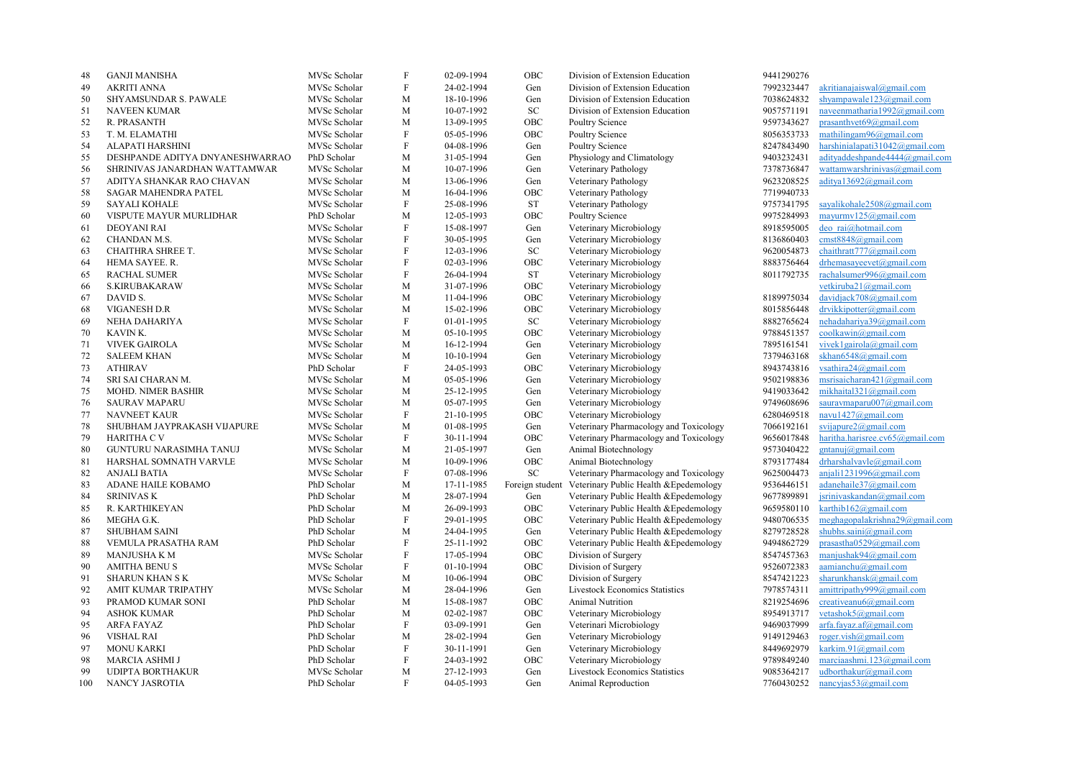| 48  | <b>GANJI MANISHA</b>            | MVSc Scholar | $\boldsymbol{\mathrm{F}}$ | 02-09-1994 | OBC               | Division of Extension Education                        | 9441290276 |                                    |
|-----|---------------------------------|--------------|---------------------------|------------|-------------------|--------------------------------------------------------|------------|------------------------------------|
| 49  | <b>AKRITI ANNA</b>              | MVSc Scholar | F                         | 24-02-1994 | Gen               | Division of Extension Education                        | 7992323447 | akritianajaiswal@gmail.com         |
| 50  | SHYAMSUNDAR S. PAWALE           | MVSc Scholar | M                         | 18-10-1996 | Gen               | Division of Extension Education                        | 7038624832 | shyampawale123@gmail.com           |
| 51  | NAVEEN KUMAR                    | MVSc Scholar | M                         | 10-07-1992 | <b>SC</b>         | Division of Extension Education                        | 9057571191 | naveenmatharia1992@gmail.com       |
| 52  | R. PRASANTH                     | MVSc Scholar | M                         | 13-09-1995 | OBC               | Poultry Science                                        | 9597343627 | prasanthvet $69$ @gmail.com        |
| 53  | T. M. ELAMATHI                  | MVSc Scholar | $\boldsymbol{\mathrm{F}}$ | 05-05-1996 | OBC               | Poultry Science                                        | 8056353733 | mathilingam96@gmail.com            |
| 54  | ALAPATI HARSHINI                | MVSc Scholar | F                         | 04-08-1996 | Gen               | Poultry Science                                        | 8247843490 | harshinialapati $31042$ @gmail.com |
| 55  | DESHPANDE ADITYA DNYANESHWARRAO | PhD Scholar  | $\mathbf M$               | 31-05-1994 | Gen               | Physiology and Climatology                             | 9403232431 | adityaddeshpande4444@gmail.com     |
| 56  | SHRINIVAS JANARDHAN WATTAMWAR   | MVSc Scholar | M                         | 10-07-1996 | Gen               | Veterinary Pathology                                   | 7378736847 | wattamwarshriniyas@gmail.com       |
| 57  | ADITYA SHANKAR RAO CHAVAN       | MVSc Scholar | M                         | 13-06-1996 | Gen               | Veterinary Pathology                                   | 9623208525 | aditya13692@gmail.com              |
| 58  | <b>SAGAR MAHENDRA PATEL</b>     | MVSc Scholar | M                         | 16-04-1996 | OBC               | Veterinary Pathology                                   | 7719940733 |                                    |
|     |                                 |              |                           |            |                   |                                                        |            |                                    |
| 59  | <b>SAYALI KOHALE</b>            | MVSc Scholar | $\rm F$                   | 25-08-1996 | ${\rm ST}$        | Veterinary Pathology                                   | 9757341795 | sayalikohale2508@gmail.com         |
| 60  | VISPUTE MAYUR MURLIDHAR         | PhD Scholar  | M                         | 12-05-1993 | OBC               | Poultry Science                                        | 9975284993 | mayurmv125@gmail.com               |
| 61  | <b>DEOYANI RAI</b>              | MVSc Scholar | $\rm F$                   | 15-08-1997 | Gen               | Veterinary Microbiology                                | 8918595005 | deo rai@hotmail.com                |
| 62  | CHANDAN M.S.                    | MVSc Scholar | F                         | 30-05-1995 | Gen               | Veterinary Microbiology                                | 8136860403 | cmst8848@gmail.com                 |
| 63  | CHAITHRA SHREE T.               | MVSc Scholar | $\rm F$                   | 12-03-1996 | ${\rm SC}$        | Veterinary Microbiology                                | 9620054873 | chaithratt777@gmail.com            |
| 64  | HEMA SAYEE. R.                  | MVSc Scholar | $\rm F$                   | 02-03-1996 | OBC               | Veterinary Microbiology                                | 8883756464 | drhemasayeevet@gmail.com           |
| 65  | <b>RACHAL SUMER</b>             | MVSc Scholar | F                         | 26-04-1994 | <b>ST</b>         | Veterinary Microbiology                                | 8011792735 | rachalsumer996@gmail.com           |
| 66  | <b>S.KIRUBAKARAW</b>            | MVSc Scholar | M                         | 31-07-1996 | OBC               | Veterinary Microbiology                                |            | vetkiruba21@gmail.com              |
| 67  | DAVID S.                        | MVSc Scholar | M                         | 11-04-1996 | OBC               | Veterinary Microbiology                                | 8189975034 | davidjack708@gmail.com             |
| 68  | VIGANESH D.R                    | MVSc Scholar | M                         | 15-02-1996 | OBC               | Veterinary Microbiology                                | 8015856448 | drvikkipotter@gmail.com            |
| 69  | NEHA DAHARIYA                   | MVSc Scholar | $\rm F$                   | 01-01-1995 | SC                | Veterinary Microbiology                                | 8882765624 | nehadahariya39@gmail.com           |
| 70  | KAVIN K.                        | MVSc Scholar | M                         | 05-10-1995 | OBC               | Veterinary Microbiology                                | 9788451357 | coolkawin@gmail.com                |
| 71  | <b>VIVEK GAIROLA</b>            | MVSc Scholar | M                         | 16-12-1994 | Gen               | Veterinary Microbiology                                | 7895161541 | vivek1gairola@gmail.com            |
| 72  | <b>SALEEM KHAN</b>              | MVSc Scholar | M                         | 10-10-1994 | Gen               | Veterinary Microbiology                                | 7379463168 | skhan6548@gmail.com                |
| 73  | <b>ATHIRAV</b>                  | PhD Scholar  | $\rm F$                   | 24-05-1993 | OBC               | Veterinary Microbiology                                | 8943743816 | vsathira24@gmail.com               |
| 74  | SRI SAI CHARAN M.               | MVSc Scholar | M                         | 05-05-1996 | Gen               | Veterinary Microbiology                                | 9502198836 | msrisaicharan421@gmail.com         |
| 75  | MOHD. NIMER BASHIR              | MVSc Scholar | M                         | 25-12-1995 | Gen               | Veterinary Microbiology                                | 9419033642 | mikhaital321@gmail.com             |
| 76  | <b>SAURAV MAPARU</b>            | MVSc Scholar | M                         | 05-07-1995 | Gen               | Veterinary Microbiology                                | 9749608696 | sauravmaparu007@gmail.com          |
| 77  | <b>NAVNEET KAUR</b>             | MVSc Scholar | F                         | 21-10-1995 | OBC               | Veterinary Microbiology                                | 6280469518 | navu $1427$ @gmail.com             |
| 78  | SHUBHAM JAYPRAKASH VIJAPURE     | MVSc Scholar | M                         | 01-08-1995 | Gen               | Veterinary Pharmacology and Toxicology                 | 7066192161 | svijapure $2$ @gmail.com           |
| 79  | <b>HARITHA C V</b>              | MVSc Scholar | F                         | 30-11-1994 | <b>OBC</b>        | Veterinary Pharmacology and Toxicology                 | 9656017848 | haritha.harisree.cv65@gmail.com    |
| 80  | <b>GUNTURU NARASIMHA TANUJ</b>  | MVSc Scholar | M                         | 21-05-1997 | Gen               | Animal Biotechnology                                   | 9573040422 | gntanuj@gmail.com                  |
| 81  | HARSHAL SOMNATH VARVLE          | MVSc Scholar | M                         | 10-09-1996 | OBC               | Animal Biotechnology                                   | 8793177484 | drharshalvavle@gmail.com           |
| 82  | <b>ANJALI BATIA</b>             | MVSc Scholar | $\mathbf F$               | 07-08-1996 | SC                | Veterinary Pharmacology and Toxicology                 | 9625004473 | anjali1231996@gmail.com            |
| 83  | ADANE HAILE KOBAMO              | PhD Scholar  | M                         | 17-11-1985 |                   | Foreign student Veterinary Public Health & Epedemology | 9536446151 | adanehaile37@gmail.com             |
| 84  | <b>SRINIVAS K</b>               | PhD Scholar  | M                         | 28-07-1994 | Gen               | Veterinary Public Health & Epedemology                 | 9677899891 | jsrinivaskandan@gmail.com          |
|     | R. KARTHIKEYAN                  | PhD Scholar  | M                         | 26-09-1993 | OBC               |                                                        |            | karthib162@gmail.com               |
| 85  |                                 |              | $\rm F$                   |            |                   | Veterinary Public Health & Epedemology                 | 9659580110 |                                    |
| 86  | MEGHA G.K.                      | PhD Scholar  |                           | 29-01-1995 | OBC               | Veterinary Public Health & Epedemology                 | 9480706535 | meghagopalakrishna29@gmail.com     |
| 87  | SHUBHAM SAINI                   | PhD Scholar  | M                         | 24-04-1995 | Gen               | Veterinary Public Health & Epedemology                 | 8279728528 | shubhs.saini@gmail.com             |
| 88  | VEMULA PRASATHA RAM             | PhD Scholar  | F                         | 25-11-1992 | OBC               | Veterinary Public Health & Epedemology                 | 9494862729 | prasastha $0529@$ gmail.com        |
| 89  | <b>MANJUSHA K M</b>             | MVSc Scholar | $\rm F$                   | 17-05-1994 | OBC               | Division of Surgery                                    | 8547457363 | manjushak $94@g$ mail.com          |
| 90  | <b>AMITHA BENUS</b>             | MVSc Scholar | F                         | 01-10-1994 | OBC               | Division of Surgery                                    | 9526072383 | $a$ amianchu $(a)$ gmail.com       |
| 91  | <b>SHARUN KHAN SK</b>           | MVSc Scholar | M                         | 10-06-1994 | $_{\mathrm{OBC}}$ | Division of Surgery                                    | 8547421223 | sharunkhansk@gmail.com             |
| 92  | AMIT KUMAR TRIPATHY             | MVSc Scholar | M                         | 28-04-1996 | Gen               | <b>Livestock Economics Statistics</b>                  | 7978574311 | amittripathy999@gmail.com          |
| 93  | PRAMOD KUMAR SONI               | PhD Scholar  | M                         | 15-08-1987 | OBC               | Animal Nutrition                                       | 8219254696 | creativeanu $6@g$ mail.com         |
| 94  | <b>ASHOK KUMAR</b>              | PhD Scholar  | M                         | 02-02-1987 | OBC               | Veterinary Microbiology                                | 8954913717 | vetashok5@gmail.com                |
| 95  | <b>ARFA FAYAZ</b>               | PhD Scholar  | $\rm F$                   | 03-09-1991 | Gen               | Veterinari Microbiology                                | 9469037999 | arfa.fayaz.af@gmail.com            |
| 96  | <b>VISHAL RAI</b>               | PhD Scholar  | M                         | 28-02-1994 | Gen               | Veterinary Microbiology                                | 9149129463 | roger.vish@gmail.com               |
| 97  | <b>MONU KARKI</b>               | PhD Scholar  | $\rm F$                   | 30-11-1991 | Gen               | Veterinary Microbiology                                | 8449692979 | karkim.91@gmail.com                |
| 98  | MARCIA ASHMI J                  | PhD Scholar  | F                         | 24-03-1992 | OBC               | Veterinary Microbiology                                | 9789849240 | marciaashmi.123@gmail.com          |
| 99  | <b>UDIPTA BORTHAKUR</b>         | MVSc Scholar | M                         | 27-12-1993 | Gen               | <b>Livestock Economics Statistics</b>                  | 9085364217 | udborthakur@gmail.com              |
| 100 | NANCY JASROTIA                  | PhD Scholar  | F                         | 04-05-1993 | Gen               | Animal Reproduction                                    | 7760430252 | nancyjas $53@g$ mail.com           |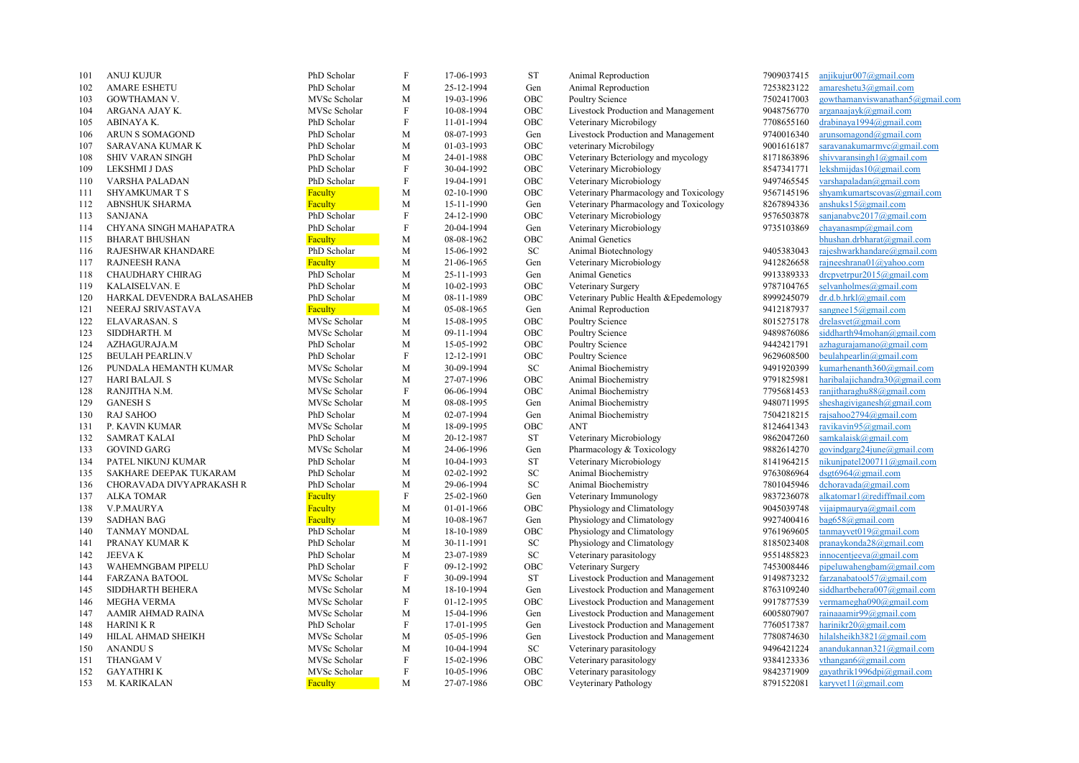| 101 | <b>ANUJ KUJUR</b>         | PhD Scholar  | $\rm F$      | 17-06-1993 | <b>ST</b>  | Animal Reproduction                    | 7909037415 | anjikujur007@gmail.com             |
|-----|---------------------------|--------------|--------------|------------|------------|----------------------------------------|------------|------------------------------------|
| 102 | <b>AMARE ESHETU</b>       | PhD Scholar  | M            | 25-12-1994 | Gen        | Animal Reproduction                    | 7253823122 | amareshetu3@gmail.com              |
| 103 | GOWTHAMAN V.              | MVSc Scholar | M            | 19-03-1996 | OBC        | Poultry Science                        | 7502417003 | gowthamanviswanathan5@gmail.com    |
| 104 | ARGANA AJAY K.            | MVSc Scholar | F            | 10-08-1994 | OBC        | Livestock Production and Management    | 9048756770 | arganaajayk@gmail.com              |
| 105 | ABINAYA K.                | PhD Scholar  | F            | 11-01-1994 | OBC        | Veterinary Microbilogy                 | 7708655160 | drabinaya1994@gmail.com            |
| 106 | ARUN S SOMAGOND           | PhD Scholar  | M            | 08-07-1993 | Gen        | Livestock Production and Management    | 9740016340 | arunsomagond@gmail.com             |
| 107 | SARAVANA KUMAR K          | PhD Scholar  | M            | 01-03-1993 | OBC        | veterinary Microbilogy                 | 9001616187 | saravanakumarmvc@gmail.com         |
| 108 | <b>SHIV VARAN SINGH</b>   | PhD Scholar  | M            | 24-01-1988 | OBC        | Veterinary Beteriology and mycology    | 8171863896 | shivyaransingh $1$ @gmail.com      |
| 109 | LEKSHMI J DAS             | PhD Scholar  | $\mathbf{F}$ | 30-04-1992 | OBC        | Veterinary Microbiology                | 8547341771 | lekshmijdas10@gmail.com            |
| 110 | VARSHA PALADAN            | PhD Scholar  | F            | 19-04-1991 | OBC        | Veterinary Microbiology                | 9497465545 | varshapaladan@gmail.com            |
| 111 | SHYAMKUMAR T S            | Faculty      | $\mathbf M$  | 02-10-1990 | OBC        | Veterinary Pharmacology and Toxicology | 9567145196 | shyamkumartscovas@gmail.com        |
| 112 | ABNSHUK SHARMA            | Faculty      | M            | 15-11-1990 | Gen        | Veterinary Pharmacology and Toxicology | 8267894336 | anshuks $15@g$ mail.com            |
| 113 | <b>SANJANA</b>            | PhD Scholar  | F            | 24-12-1990 | OBC        | Veterinary Microbiology                | 9576503878 | sanjanabvc2017@gmail.com           |
| 114 | CHYANA SINGH MAHAPATRA    | PhD Scholar  | $\rm F$      | 20-04-1994 | Gen        | Veterinary Microbiology                | 9735103869 | chayanasmp@gmail.com               |
| 115 | <b>BHARAT BHUSHAN</b>     | Faculty      | M            | 08-08-1962 | OBC        | Animal Genetics                        |            | bhushan.drbharat@gmail.com         |
| 116 | RAJESHWAR KHANDARE        | PhD Scholar  | M            | 15-06-1992 | SC         | Animal Biotechnology                   | 9405383043 | rajeshwarkhandare@gmail.com        |
| 117 | <b>RAJNEESH RANA</b>      | Faculty      | M            | 21-06-1965 | Gen        | Veterinary Microbiology                | 9412826658 | rajneeshrana01@yahoo.com           |
| 118 | CHAUDHARY CHIRAG          | PhD Scholar  | M            | 25-11-1993 | Gen        | Animal Genetics                        | 9913389333 | drepvetrpur2015@gmail.com          |
| 119 | KALAISELVAN. E            | PhD Scholar  | $\mathbf M$  | 10-02-1993 | OBC        | Veterinary Surgery                     | 9787104765 | selvanholmes@gmail.com             |
| 120 | HARKAL DEVENDRA BALASAHEB | PhD Scholar  | M            | 08-11-1989 | OBC        | Veterinary Public Health & Epedemology | 8999245079 | dr.d.b.hrkl@gmail.com              |
| 121 | NEERAJ SRIVASTAVA         | Faculty      | M            | 05-08-1965 | Gen        | Animal Reproduction                    | 9412187937 | sangnee15@gmail.com                |
| 122 | ELAVARASAN. S             | MVSc Scholar | M            | 15-08-1995 | OBC        | Poultry Science                        | 8015275178 | drelasvet@gmail.com                |
| 123 | SIDDHARTH. M              | MVSc Scholar | M            | 09-11-1994 | OBC        | Poultry Science                        | 9489876086 | siddharth94mohan@gmail.com         |
| 124 | AZHAGURAJA.M              | PhD Scholar  | M            | 15-05-1992 | OBC        | Poultry Science                        | 9442421791 | $azhagurajamano(\omega gmail.com)$ |
| 125 | <b>BEULAH PEARLIN.V</b>   | PhD Scholar  | $\mathbf{F}$ | 12-12-1991 | OBC        | Poultry Science                        | 9629608500 | beulahpearlin@gmail.com            |
| 126 | PUNDALA HEMANTH KUMAR     | MVSc Scholar | M            | 30-09-1994 | ${\rm SC}$ | Animal Biochemistry                    | 9491920399 | kumarhenanth360@gmail.com          |
| 127 | <b>HARI BALAJI. S</b>     | MVSc Scholar | M            | 27-07-1996 | OBC        | Animal Biochemistry                    | 9791825981 | haribalajichandra30@gmail.com      |
| 128 | RANJITHA N.M.             | MVSc Scholar | F            | 06-06-1994 | OBC        | Animal Biochemistry                    | 7795681453 | ranjitharaghu88@gmail.com          |
| 129 | <b>GANESH S</b>           | MVSc Scholar | M            | 08-08-1995 | Gen        | Animal Biochemistry                    | 9480711995 | sheshagiviganesh@gmail.com         |
| 130 | <b>RAJ SAHOO</b>          | PhD Scholar  | M            | 02-07-1994 |            |                                        | 7504218215 | rajsahoo2794@gmail.com             |
|     |                           |              |              |            | Gen<br>OBC | Animal Biochemistry                    |            | ravikavin95@gmail.com              |
| 131 | P. KAVIN KUMAR            | MVSc Scholar | M            | 18-09-1995 |            | ANT                                    | 8124641343 |                                    |
| 132 | <b>SAMRAT KALAI</b>       | PhD Scholar  | M            | 20-12-1987 | <b>ST</b>  | Veterinary Microbiology                | 9862047260 | samkalaisk@gmail.com               |
| 133 | <b>GOVIND GARG</b>        | MVSc Scholar | M            | 24-06-1996 | Gen        | Pharmacology & Toxicology              | 9882614270 | govindgarg24june@gmail.com         |
| 134 | PATEL NIKUNJ KUMAR        | PhD Scholar  | M            | 10-04-1993 | <b>ST</b>  | Veterinary Microbiology                | 8141964215 | nikunjpatel200711@gmail.com        |
| 135 | SAKHARE DEEPAK TUKARAM    | PhD Scholar  | M            | 02-02-1992 | ${\rm SC}$ | Animal Biochemistry                    | 9763086964 | dsgt6964@gmail.com                 |
| 136 | CHORAVADA DIVYAPRAKASH R  | PhD Scholar  | M            | 29-06-1994 | ${\rm SC}$ | Animal Biochemistry                    | 7801045946 | dchoravada@gmail.com               |
| 137 | <b>ALKA TOMAR</b>         | Faculty      | $\rm F$      | 25-02-1960 | Gen        | Veterinary Immunology                  | 9837236078 | alkatomarl@rediffmail.com          |
| 138 | V.P.MAURYA                | Faculty      | M            | 01-01-1966 | OBC        | Physiology and Climatology             | 9045039748 | vijaipmaurya@gmail.com             |
| 139 | <b>SADHAN BAG</b>         | Faculty      | $\mathbf M$  | 10-08-1967 | Gen        | Physiology and Climatology             | 9927400416 | bag658@gmail.com                   |
| 140 | TANMAY MONDAL             | PhD Scholar  | M            | 18-10-1989 | OBC        | Physiology and Climatology             | 9761969605 | tanmayvet $019@g$ mail.com         |
| 141 | PRANAY KUMAR K            | PhD Scholar  | M            | 30-11-1991 | ${\rm SC}$ | Physiology and Climatology             | 8185023408 | pranaykonda28@gmail.com            |
| 142 | <b>JEEVAK</b>             | PhD Scholar  | M            | 23-07-1989 | ${\rm SC}$ | Veterinary parasitology                | 9551485823 | innocentjeeva@gmail.com            |
| 143 | WAHEMNGBAM PIPELU         | PhD Scholar  | $\rm F$      | 09-12-1992 | OBC        | Veterinary Surgery                     | 7453008446 | pipeluwahengbam@gmail.com          |
| 144 | <b>FARZANA BATOOL</b>     | MVSc Scholar | F            | 30-09-1994 | <b>ST</b>  | Livestock Production and Management    | 9149873232 | farzanabatool57@gmail.com          |
| 145 | SIDDHARTH BEHERA          | MVSc Scholar | M            | 18-10-1994 | Gen        | Livestock Production and Management    | 8763109240 | siddhartbehera007@gmail.com        |
| 146 | <b>MEGHA VERMA</b>        | MVSc Scholar | ${\rm F}$    | 01-12-1995 | OBC        | Livestock Production and Management    | 9917877539 | vermamegha090@gmail.com            |
| 147 | AAMIR AHMAD RAINA         | MVSc Scholar | M            | 15-04-1996 | Gen        | Livestock Production and Management    | 6005807907 | rainaaamir99@gmail.com             |
| 148 | <b>HARINI K R</b>         | PhD Scholar  | $\rm F$      | 17-01-1995 | Gen        | Livestock Production and Management    | 7760517387 | harinikr20@gmail.com               |
| 149 | HILAL AHMAD SHEIKH        | MVSc Scholar | M            | 05-05-1996 | Gen        | Livestock Production and Management    | 7780874630 | hilalsheikh3821@gmail.com          |
| 150 | <b>ANANDUS</b>            | MVSc Scholar | M            | 10-04-1994 | ${\rm SC}$ | Veterinary parasitology                | 9496421224 | anandukannan $321$ @gmail.com      |
| 151 | THANGAM V                 | MVSc Scholar | F            | 15-02-1996 | OBC        | Veterinary parasitology                | 9384123336 | vthangan6@gmail.com                |
| 152 | <b>GAYATHRIK</b>          | MVSc Scholar | F            | 10-05-1996 | OBC        | Veterinary parasitology                | 9842371909 | gayathrik1996dpi@gmail.com         |
| 153 | M. KARIKALAN              | Faculty      | M            | 27-07-1986 | OBC        | Veyterinary Pathology                  | 8791522081 | karyvet $11@g$ mail.com            |
|     |                           |              |              |            |            |                                        |            |                                    |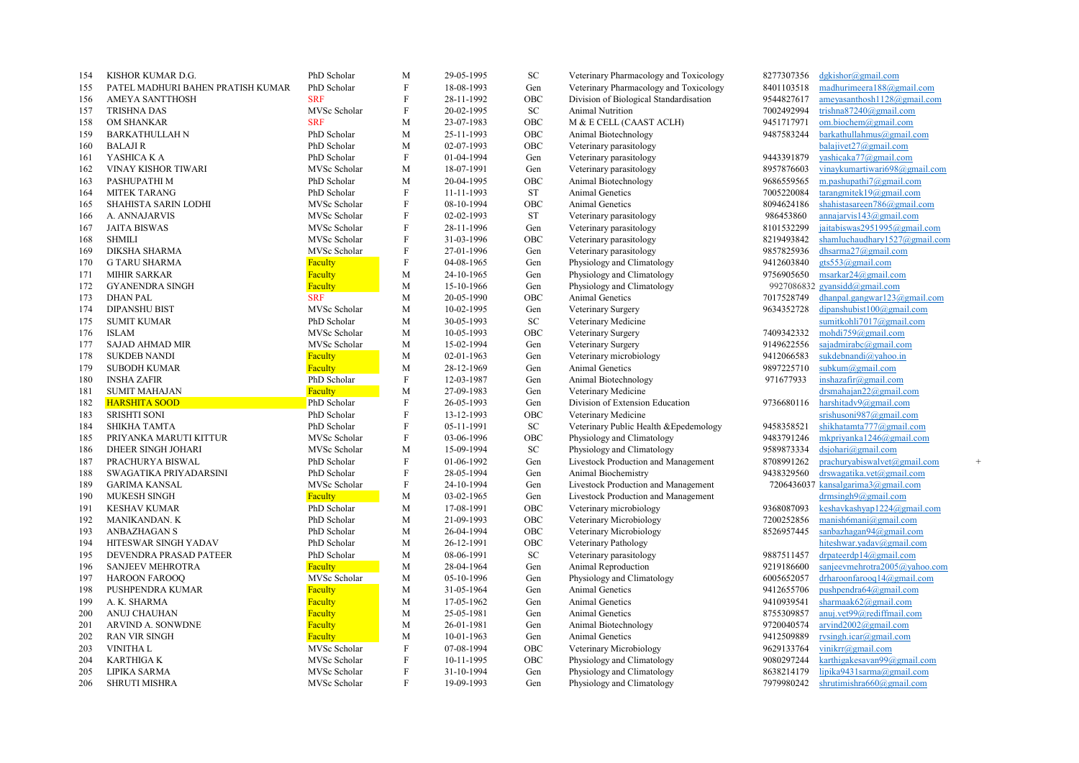| 154 | KISHOR KUMAR D.G.                 | PhD Scholar    | M            | 29-05-1995 | SC           | Veterinary Pharmacology and Toxicology | 8277307356 | dgkishor@gmail.com                 |     |
|-----|-----------------------------------|----------------|--------------|------------|--------------|----------------------------------------|------------|------------------------------------|-----|
| 155 | PATEL MADHURI BAHEN PRATISH KUMAR | PhD Scholar    | F            | 18-08-1993 | Gen          | Veterinary Pharmacology and Toxicology | 8401103518 | madhurimeera188@gmail.com          |     |
| 156 | AMEYA SANTTHOSH                   | <b>SRF</b>     | F            | 28-11-1992 | OBC          | Division of Biological Standardisation | 9544827617 | ameyasanthosh1128@gmail.com        |     |
| 157 | <b>TRISHNA DAS</b>                | MVSc Scholar   | F            | 20-02-1995 | ${\rm SC}$   | Animal Nutrition                       | 7002492994 | trishna87240@gmail.com             |     |
| 158 | OM SHANKAR                        | <b>SRF</b>     | M            | 23-07-1983 | OBC          | M & E CELL (CAAST ACLH)                | 9451717971 | om.biochem@gmail.com               |     |
| 159 | <b>BARKATHULLAH N</b>             | PhD Scholar    | M            | 25-11-1993 | OBC          | Animal Biotechnology                   | 9487583244 | barkathullahmus@gmail.com          |     |
| 160 | <b>BALAJIR</b>                    | PhD Scholar    | M            | 02-07-1993 | OBC          | Veterinary parasitology                |            | balajivet $27$ @gmail.com          |     |
| 161 | YASHICA K A                       | PhD Scholar    | F            | 01-04-1994 | Gen          | Veterinary parasitology                | 9443391879 | yashicaka77@gmail.com              |     |
| 162 | VINAY KISHOR TIWARI               | MVSc Scholar   | M            | 18-07-1991 | Gen          | Veterinary parasitology                | 8957876603 | vinaykumartiwari698@gmail.com      |     |
| 163 | PASHUPATHI M                      | PhD Scholar    | M            | 20-04-1995 | OBC          | Animal Biotechnology                   | 9686559565 | m.pashupathi7@gmail.com            |     |
| 164 | MITEK TARANG                      | PhD Scholar    | F            | 11-11-1993 | <b>ST</b>    | Animal Genetics                        | 7005220084 | tarangmitek19@gmail.com            |     |
| 165 | SHAHISTA SARIN LODHI              | MVSc Scholar   | F            | 08-10-1994 | OBC          | Animal Genetics                        | 8094624186 | shahistasareen786@gmail.com        |     |
| 166 | A. ANNAJARVIS                     | MVSc Scholar   | F            | 02-02-1993 | ST           | Veterinary parasitology                | 986453860  | annajarvis143@gmail.com            |     |
| 167 | <b>JAITA BISWAS</b>               | MVSc Scholar   | $\mathbf{F}$ | 28-11-1996 | Gen          | Veterinary parasitology                | 8101532299 | jaitabiswas2951995@gmail.com       |     |
| 168 | <b>SHMILI</b>                     | MVSc Scholar   | $\rm F$      | 31-03-1996 | OBC          | Veterinary parasitology                | 8219493842 | shamluchaudhary1527@gmail.com      |     |
| 169 | <b>DIKSHA SHARMA</b>              | MVSc Scholar   | $\mathbf{F}$ | 27-01-1996 | Gen          | Veterinary parasitology                | 9857825936 | dhsarma27@gmail.com                |     |
| 170 | <b>G TARU SHARMA</b>              | Faculty        | F            | 04-08-1965 | Gen          | Physiology and Climatology             | 9412603840 | gts553@gmail.com                   |     |
| 171 | <b>MIHIR SARKAR</b>               | Faculty        | M            | 24-10-1965 | Gen          | Physiology and Climatology             | 9756905650 | msarkar $24$ @gmail.com            |     |
| 172 | <b>GYANENDRA SINGH</b>            | Faculty        | M            | 15-10-1966 | Gen          | Physiology and Climatology             |            | 9927086832 gyansidd@gmail.com      |     |
| 173 | <b>DHAN PAL</b>                   | <b>SRF</b>     | M            | 20-05-1990 | OBC          | Animal Genetics                        | 7017528749 | dhanpal.gangwar123@gmail.com       |     |
| 174 | <b>DIPANSHU BIST</b>              | MVSc Scholar   | M            | 10-02-1995 | Gen          | Veterinary Surgery                     | 9634352728 | dipanshubist $100$ @gmail.com      |     |
| 175 | <b>SUMIT KUMAR</b>                | PhD Scholar    | M            | 30-05-1993 | ${\rm SC}$   | Veterinary Medicine                    |            | sumitkohli7017@gmail.com           |     |
| 176 | <b>ISLAM</b>                      | MVSc Scholar   | M            | 10-05-1993 | OBC          | Veterinary Surgery                     | 7409342332 | mohdi759@gmail.com                 |     |
| 177 | <b>SAJAD AHMAD MIR</b>            | MVSc Scholar   | M            | 15-02-1994 | Gen          | Veterinary Surgery                     | 9149622556 | sajadmirabc@gmail.com              |     |
| 178 | <b>SUKDEB NANDI</b>               | <b>Faculty</b> | M            | 02-01-1963 | Gen          | Veterinary microbiology                | 9412066583 | sukdebnandi@yahoo.in               |     |
| 179 | <b>SUBODH KUMAR</b>               | Faculty        | M            | 28-12-1969 | Gen          | Animal Genetics                        | 9897225710 | subkum@gmail.com                   |     |
| 180 | <b>INSHA ZAFIR</b>                | PhD Scholar    | F            | 12-03-1987 | Gen          | Animal Biotechnology                   | 971677933  | inshazafir@gmail.com               |     |
| 181 | <b>SUMIT MAHAJAN</b>              | Faculty        | M            | 27-09-1983 | Gen          | Veterinary Medicine                    |            | drsmahajan22@gmail.com             |     |
| 182 | <b>HARSHITA SOOD</b>              | PhD Scholar    | $\mathbf{F}$ | 26-05-1993 | Gen          | Division of Extension Education        | 9736680116 | harshitadv9@gmail.com              |     |
| 183 | <b>SRISHTI SONI</b>               | PhD Scholar    | F            | 13-12-1993 | OBC          | Veterinary Medicine                    |            | srishusoni987@gmail.com            |     |
| 184 | SHIKHA TAMTA                      | PhD Scholar    | F            | 05-11-1991 | SC           | Veterinary Public Health & Epedemology | 9458358521 | shikhatamta777@gmail.com           |     |
| 185 | PRIYANKA MARUTI KITTUR            | MVSc Scholar   | F            | 03-06-1996 | OBC          | Physiology and Climatology             | 9483791246 | mkpriyanka1246@gmail.com           |     |
| 186 | DHEER SINGH JOHARI                | MVSc Scholar   | M            | 15-09-1994 | ${\rm SC}$   | Physiology and Climatology             | 9589873334 | dsjohari@gmail.com                 |     |
| 187 | PRACHURYA BISWAL                  | PhD Scholar    | F            | 01-06-1992 | Gen          | Livestock Production and Management    | 8708991262 | prachuryabiswalvet@gmail.com       | $+$ |
| 188 | SWAGATIKA PRIYADARSINI            | PhD Scholar    | F            | 28-05-1994 | Gen          | Animal Biochemistry                    | 9438329560 | drswagatika.vet@gmail.com          |     |
| 189 | <b>GARIMA KANSAL</b>              | MVSc Scholar   | F            | 24-10-1994 | Gen          | Livestock Production and Management    |            | 7206436037 kansalgarima3@gmail.com |     |
| 190 | MUKESH SINGH                      | <b>Faculty</b> | M            | 03-02-1965 | Gen          | Livestock Production and Management    |            | drmsingh9@gmail.com                |     |
| 191 | <b>KESHAV KUMAR</b>               | PhD Scholar    | M            | 17-08-1991 | OBC          | Veterinary microbiology                | 9368087093 | keshavkashyap1224@gmail.com        |     |
| 192 | <b>MANIKANDAN. K</b>              | PhD Scholar    | M            | 21-09-1993 | OBC          | Veterinary Microbiology                | 7200252856 | manish6mani@gmail.com              |     |
| 193 | ANBAZHAGAN S                      | PhD Scholar    | M            | 26-04-1994 | $_{\rm OBC}$ | Veterinary Microbiology                | 8526957445 | sanbazhagan94@gmail.com            |     |
| 194 | HITESWAR SINGH YADAV              | PhD Scholar    | M            | 26-12-1991 | OBC          | Veterinary Pathology                   |            | hiteshwar.yadav@gmail.com          |     |
| 195 | DEVENDRA PRASAD PATEER            | PhD Scholar    | M            | 08-06-1991 | ${\rm SC}$   | Veterinary parasitology                | 9887511457 | drpateerdp14@gmail.com             |     |
| 196 | <b>SANJEEV MEHROTRA</b>           | Faculty        | M            | 28-04-1964 | Gen          | Animal Reproduction                    | 9219186600 | sanjeevmehrotra2005@yahoo.com      |     |
| 197 | <b>HAROON FAROOO</b>              | MVSc Scholar   | M            | 05-10-1996 | Gen          | Physiology and Climatology             | 6005652057 | drharoonfarooq14@gmail.com         |     |
| 198 | PUSHPENDRA KUMAR                  | Faculty        | M            | 31-05-1964 | Gen          | Animal Genetics                        | 9412655706 | pushpendra $64@g$ mail.com         |     |
| 199 | A. K. SHARMA                      | Faculty        | M            | 17-05-1962 | Gen          | Animal Genetics                        | 9410939541 | sharmaak $62$ @gmail.com           |     |
| 200 | ANUJ CHAUHAN                      | Faculty        | M            | 25-05-1981 | Gen          | Animal Genetics                        | 8755309857 | anuj.vet99@rediffmail.com          |     |
| 201 | ARVIND A. SONWDNE                 | Faculty        | M            | 26-01-1981 | Gen          | Animal Biotechnology                   | 9720040574 | $arvind2002$ @gmail.com            |     |
| 202 | <b>RAN VIR SINGH</b>              | Faculty        | M            | 10-01-1963 | Gen          | Animal Genetics                        | 9412509889 | rvsingh.icar@gmail.com             |     |
| 203 | <b>VINITHAL</b>                   | MVSc Scholar   | $\mathbf{F}$ | 07-08-1994 | $_{\rm OBC}$ | Veterinary Microbiology                | 9629133764 | vinikrr@gmail.com                  |     |
| 204 | <b>KARTHIGAK</b>                  | MVSc Scholar   | $\rm F$      | 10-11-1995 | OBC          | Physiology and Climatology             | 9080297244 | karthigakesavan99@gmail.com        |     |
| 205 | LIPIKA SARMA                      | MVSc Scholar   | $\mathbf{F}$ | 31-10-1994 | Gen          | Physiology and Climatology             | 8638214179 | lipika9431sarma@gmail.com          |     |
| 206 | <b>SHRUTI MISHRA</b>              | MVSc Scholar   | $\mathbf{F}$ | 19-09-1993 | Gen          | Physiology and Climatology             | 7979980242 | shrutimishra $660$ @gmail.com      |     |
|     |                                   |                |              |            |              |                                        |            |                                    |     |